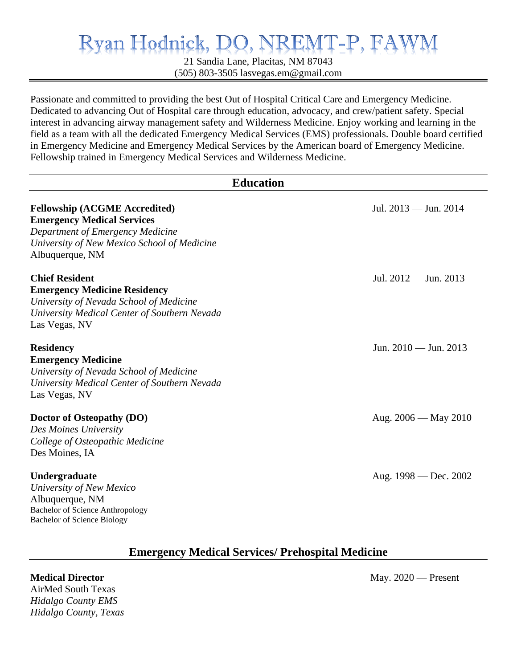## VREMT-P, FA Ryan Hodnick, DO, N

21 Sandia Lane, Placitas, NM 87043 (505) 803-3505 [lasvegas.em@gmail.com](mailto:lasvegas.em@gmail.com)

Passionate and committed to providing the best Out of Hospital Critical Care and Emergency Medicine. Dedicated to advancing Out of Hospital care through education, advocacy, and crew/patient safety. Special interest in advancing airway management safety and Wilderness Medicine. Enjoy working and learning in the field as a team with all the dedicated Emergency Medical Services (EMS) professionals. Double board certified in Emergency Medicine and Emergency Medical Services by the American board of Emergency Medicine. Fellowship trained in Emergency Medical Services and Wilderness Medicine.

| <b>Education</b>                                                                                                                                                                |                          |  |
|---------------------------------------------------------------------------------------------------------------------------------------------------------------------------------|--------------------------|--|
| <b>Fellowship (ACGME Accredited)</b><br><b>Emergency Medical Services</b><br>Department of Emergency Medicine<br>University of New Mexico School of Medicine<br>Albuquerque, NM | Jul. 2013 — Jun. 2014    |  |
| <b>Chief Resident</b><br><b>Emergency Medicine Residency</b><br>University of Nevada School of Medicine<br>University Medical Center of Southern Nevada<br>Las Vegas, NV        | Jul. 2012 — Jun. 2013    |  |
| <b>Residency</b><br><b>Emergency Medicine</b><br>University of Nevada School of Medicine<br>University Medical Center of Southern Nevada<br>Las Vegas, NV                       | Jun. 2010 — Jun. 2013    |  |
| Doctor of Osteopathy (DO)<br>Des Moines University<br>College of Osteopathic Medicine<br>Des Moines, IA                                                                         | Aug. $2006 -$ May $2010$ |  |
| Undergraduate<br>University of New Mexico<br>Albuquerque, NM<br><b>Bachelor of Science Anthropology</b><br><b>Bachelor of Science Biology</b>                                   | Aug. $1998 - Dec. 2002$  |  |

## **Emergency Medical Services/ Prehospital Medicine**

AirMed South Texas *Hidalgo County EMS Hidalgo County, Texas*

**Medical Director May. 2020** — Present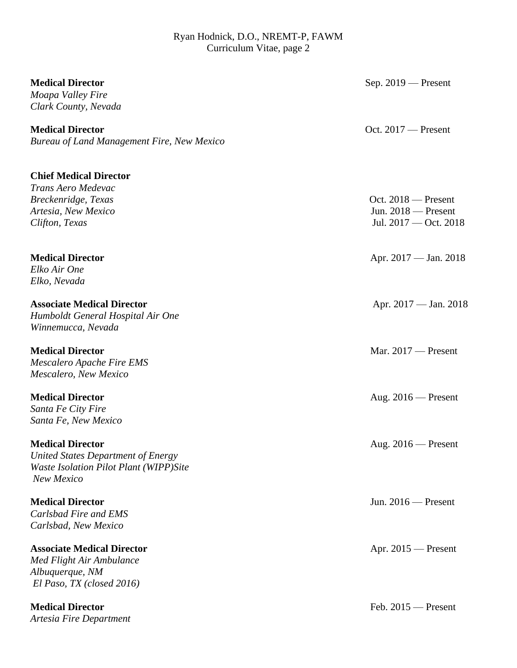| <b>Medical Director</b><br>Moapa Valley Fire<br>Clark County, Nevada                                                  | Sep. $2019$ – Present                                                   |
|-----------------------------------------------------------------------------------------------------------------------|-------------------------------------------------------------------------|
| <b>Medical Director</b><br><b>Bureau of Land Management Fire, New Mexico</b>                                          | Oct. $2017$ – Present                                                   |
| <b>Chief Medical Director</b><br>Trans Aero Medevac<br>Breckenridge, Texas<br>Artesia, New Mexico<br>Clifton, Texas   | Oct. $2018$ – Present<br>Jun. $2018$ – Present<br>Jul. 2017 - Oct. 2018 |
| <b>Medical Director</b><br>Elko Air One                                                                               | Apr. 2017 — Jan. 2018                                                   |
| Elko, Nevada<br><b>Associate Medical Director</b><br>Humboldt General Hospital Air One<br>Winnemucca, Nevada          | Apr. 2017 — Jan. 2018                                                   |
| <b>Medical Director</b><br>Mescalero Apache Fire EMS<br>Mescalero, New Mexico                                         | Mar. $2017$ - Present                                                   |
| <b>Medical Director</b><br>Santa Fe City Fire<br>Santa Fe, New Mexico                                                 | Aug. $2016$ – Present                                                   |
| <b>Medical Director</b><br>United States Department of Energy<br>Waste Isolation Pilot Plant (WIPP)Site<br>New Mexico | Aug. $2016$ – Present                                                   |
| <b>Medical Director</b><br>Carlsbad Fire and EMS<br>Carlsbad, New Mexico                                              | Jun. $2016$ – Present                                                   |
| <b>Associate Medical Director</b><br>Med Flight Air Ambulance<br>Albuquerque, NM<br>El Paso, TX (closed 2016)         | Apr. $2015$ – Present                                                   |
| <b>Medical Director</b><br>Artesia Fire Department                                                                    | Feb. $2015$ – Present                                                   |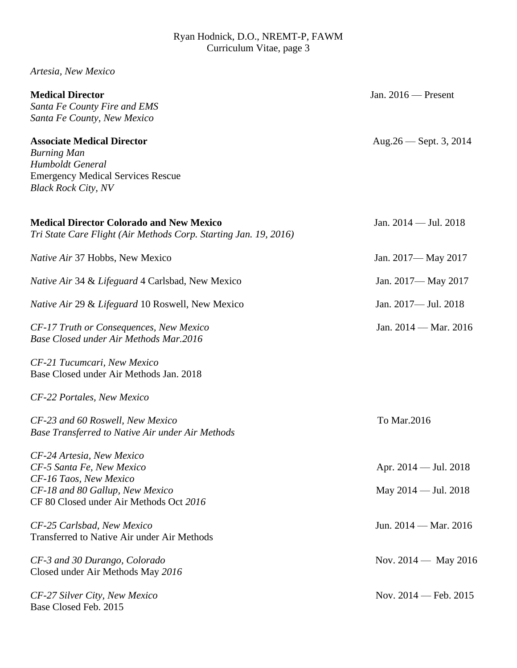*Artesia, New Mexico*

| <b>Medical Director</b><br>Santa Fe County Fire and EMS<br>Santa Fe County, New Mexico                                                                         | Jan. $2016$ – Present                                   |
|----------------------------------------------------------------------------------------------------------------------------------------------------------------|---------------------------------------------------------|
| <b>Associate Medical Director</b><br><b>Burning Man</b><br>Humboldt General<br><b>Emergency Medical Services Rescue</b><br><b>Black Rock City, NV</b>          | Aug. $26$ — Sept. 3, 2014                               |
| <b>Medical Director Colorado and New Mexico</b><br>Tri State Care Flight (Air Methods Corp. Starting Jan. 19, 2016)                                            | Jan. 2014 - Jul. 2018                                   |
| Native Air 37 Hobbs, New Mexico                                                                                                                                | Jan. 2017— May 2017                                     |
| Native Air 34 & Lifeguard 4 Carlsbad, New Mexico                                                                                                               | Jan. 2017— May 2017                                     |
| Native Air 29 & Lifeguard 10 Roswell, New Mexico                                                                                                               | Jan. 2017- Jul. 2018                                    |
| CF-17 Truth or Consequences, New Mexico<br>Base Closed under Air Methods Mar.2016                                                                              | Jan. 2014 — Mar. 2016                                   |
| CF-21 Tucumcari, New Mexico<br>Base Closed under Air Methods Jan. 2018                                                                                         |                                                         |
| CF-22 Portales, New Mexico                                                                                                                                     |                                                         |
| CF-23 and 60 Roswell, New Mexico<br>Base Transferred to Native Air under Air Methods                                                                           | To Mar.2016                                             |
| CF-24 Artesia, New Mexico<br>CF-5 Santa Fe, New Mexico<br>CF-16 Taos, New Mexico<br>CF-18 and 80 Gallup, New Mexico<br>CF 80 Closed under Air Methods Oct 2016 | Apr. 2014 — Jul. 2018<br>May $2014 - \text{Jul. } 2018$ |
| CF-25 Carlsbad, New Mexico<br>Transferred to Native Air under Air Methods                                                                                      | Jun. $2014 - \text{Mar. } 2016$                         |
| CF-3 and 30 Durango, Colorado<br>Closed under Air Methods May 2016                                                                                             | Nov. $2014 -$ May 2016                                  |
| CF-27 Silver City, New Mexico<br>Base Closed Feb. 2015                                                                                                         | Nov. $2014$ – Feb. $2015$                               |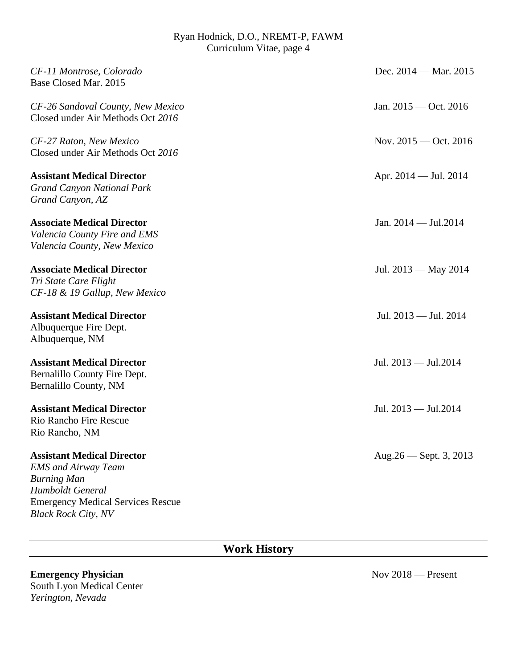| CF-11 Montrose, Colorado<br>Base Closed Mar. 2015                                                                                                                                   | Dec. 2014 - Mar. 2015     |
|-------------------------------------------------------------------------------------------------------------------------------------------------------------------------------------|---------------------------|
| CF-26 Sandoval County, New Mexico<br>Closed under Air Methods Oct 2016                                                                                                              | Jan. $2015 - Oct. 2016$   |
| CF-27 Raton, New Mexico<br>Closed under Air Methods Oct 2016                                                                                                                        | Nov. $2015 - Oct. 2016$   |
| <b>Assistant Medical Director</b><br><b>Grand Canyon National Park</b><br>Grand Canyon, AZ                                                                                          | Apr. $2014 -$ Jul. $2014$ |
| <b>Associate Medical Director</b><br>Valencia County Fire and EMS<br>Valencia County, New Mexico                                                                                    | Jan. $2014 -$ Jul. $2014$ |
| <b>Associate Medical Director</b><br>Tri State Care Flight<br>CF-18 & 19 Gallup, New Mexico                                                                                         | Jul. $2013 - May 2014$    |
| <b>Assistant Medical Director</b><br>Albuquerque Fire Dept.<br>Albuquerque, NM                                                                                                      | Jul. 2013 - Jul. 2014     |
| <b>Assistant Medical Director</b><br>Bernalillo County Fire Dept.<br>Bernalillo County, NM                                                                                          | Jul. 2013 — Jul. 2014     |
| <b>Assistant Medical Director</b><br><b>Rio Rancho Fire Rescue</b><br>Rio Rancho, NM                                                                                                | Jul. 2013 — Jul. 2014     |
| <b>Assistant Medical Director</b><br><b>EMS</b> and Airway Team<br><b>Burning Man</b><br>Humboldt General<br><b>Emergency Medical Services Rescue</b><br><b>Black Rock City, NV</b> | Aug. $26$ – Sept. 3, 2013 |

# **Work History**

## **Emergency Physician** Nov 2018 — Present South Lyon Medical Center *Yerington, Nevada*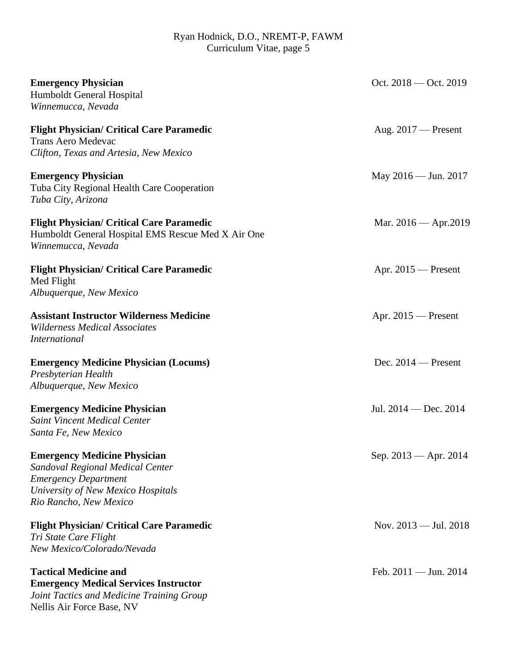| <b>Emergency Physician</b><br>Humboldt General Hospital<br>Winnemucca, Nevada                                                                                          | Oct. $2018 -$ Oct. $2019$       |
|------------------------------------------------------------------------------------------------------------------------------------------------------------------------|---------------------------------|
| <b>Flight Physician/ Critical Care Paramedic</b><br><b>Trans Aero Medevac</b><br>Clifton, Texas and Artesia, New Mexico                                                | Aug. $2017$ – Present           |
| <b>Emergency Physician</b><br>Tuba City Regional Health Care Cooperation<br>Tuba City, Arizona                                                                         | May 2016 — Jun. 2017            |
| <b>Flight Physician/ Critical Care Paramedic</b><br>Humboldt General Hospital EMS Rescue Med X Air One<br>Winnemucca, Nevada                                           | Mar. $2016 -$ Apr. $2019$       |
| <b>Flight Physician/ Critical Care Paramedic</b><br>Med Flight<br>Albuquerque, New Mexico                                                                              | Apr. $2015$ – Present           |
| <b>Assistant Instructor Wilderness Medicine</b><br><b>Wilderness Medical Associates</b><br><b>International</b>                                                        | Apr. $2015$ – Present           |
| <b>Emergency Medicine Physician (Locums)</b><br>Presbyterian Health<br>Albuquerque, New Mexico                                                                         | Dec. $2014$ – Present           |
| <b>Emergency Medicine Physician</b><br><b>Saint Vincent Medical Center</b><br>Santa Fe, New Mexico                                                                     | Jul. $2014 - Dec. 2014$         |
| <b>Emergency Medicine Physician</b><br>Sandoval Regional Medical Center<br><b>Emergency Department</b><br>University of New Mexico Hospitals<br>Rio Rancho, New Mexico | Sep. 2013 - Apr. 2014           |
| <b>Flight Physician/ Critical Care Paramedic</b><br>Tri State Care Flight<br>New Mexico/Colorado/Nevada                                                                | Nov. $2013 -$ Jul. $2018$       |
| <b>Tactical Medicine and</b><br><b>Emergency Medical Services Instructor</b><br>Joint Tactics and Medicine Training Group<br>Nellis Air Force Base, NV                 | Feb. $2011 - \text{Jun. } 2014$ |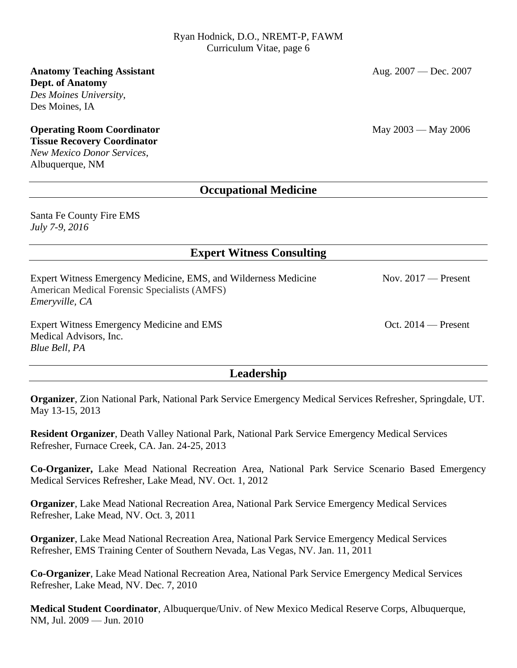#### **Anatomy Teaching Assistant** Aug. 2007 — Dec. 2007 **Dept. of Anatomy** *Des Moines University*, Des Moines, IA

# **Operating Room Coordinator** May 2003 — May 2006

## **Tissue Recovery Coordinator**

*New Mexico Donor Services*, Albuquerque, NM

## **Occupational Medicine**

Santa Fe County Fire EMS *July 7-9, 2016*

## **Expert Witness Consulting**

Expert Witness Emergency Medicine, EMS, and Wilderness Medicine Nov. 2017 — Present American Medical Forensic Specialists (AMFS) *Emeryville, CA* Expert Witness Emergency Medicine and EMS Oct. 2014 — Present Medical Advisors, Inc.

*Blue Bell, PA*

## **Leadership**

**Organizer**, Zion National Park, National Park Service Emergency Medical Services Refresher, Springdale, UT. May 13-15, 2013

**Resident Organizer**, Death Valley National Park, National Park Service Emergency Medical Services Refresher, Furnace Creek, CA. Jan. 24-25, 2013

**Co-Organizer,** Lake Mead National Recreation Area, National Park Service Scenario Based Emergency Medical Services Refresher, Lake Mead, NV. Oct. 1, 2012

**Organizer**, Lake Mead National Recreation Area, National Park Service Emergency Medical Services Refresher, Lake Mead, NV. Oct. 3, 2011

**Organizer**, Lake Mead National Recreation Area, National Park Service Emergency Medical Services Refresher, EMS Training Center of Southern Nevada, Las Vegas, NV. Jan. 11, 2011

**Co-Organizer**, Lake Mead National Recreation Area, National Park Service Emergency Medical Services Refresher, Lake Mead, NV. Dec. 7, 2010

**Medical Student Coordinator**, Albuquerque/Univ. of New Mexico Medical Reserve Corps, Albuquerque, NM, Jul. 2009 — Jun. 2010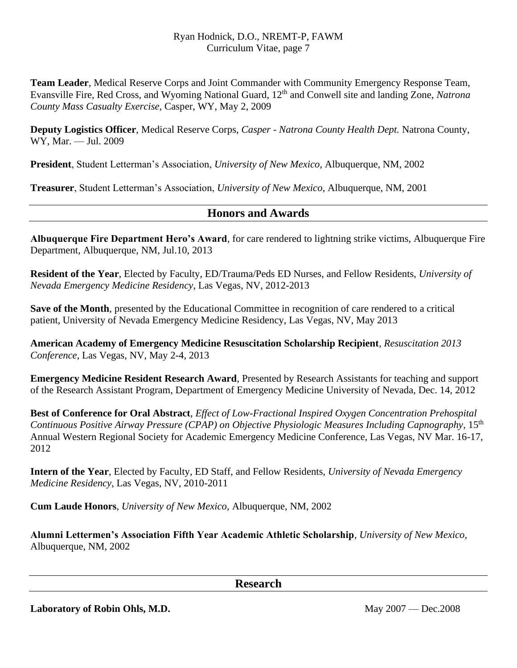**Team Leader**, Medical Reserve Corps and Joint Commander with Community Emergency Response Team, Evansville Fire, Red Cross, and Wyoming National Guard, 12th and Conwell site and landing Zone, *Natrona County Mass Casualty Exercise,* Casper, WY, May 2, 2009

**Deputy Logistics Officer**, Medical Reserve Corps, *Casper - Natrona County Health Dept.* Natrona County, WY, Mar. — Jul. 2009

**President**, Student Letterman's Association, *University of New Mexico*, Albuquerque, NM, 2002

**Treasurer**, Student Letterman's Association, *University of New Mexico*, Albuquerque, NM, 2001

## **Honors and Awards**

**Albuquerque Fire Department Hero's Award**, for care rendered to lightning strike victims, Albuquerque Fire Department, Albuquerque, NM, Jul.10, 2013

**Resident of the Year**, Elected by Faculty, ED/Trauma/Peds ED Nurses, and Fellow Residents, *University of Nevada Emergency Medicine Residency*, Las Vegas, NV, 2012-2013

**Save of the Month**, presented by the Educational Committee in recognition of care rendered to a critical patient, University of Nevada Emergency Medicine Residency, Las Vegas, NV, May 2013

**American Academy of Emergency Medicine Resuscitation Scholarship Recipient**, *Resuscitation 2013 Conference*, Las Vegas, NV, May 2-4, 2013

**Emergency Medicine Resident Research Award**, Presented by Research Assistants for teaching and support of the Research Assistant Program, Department of Emergency Medicine University of Nevada, Dec. 14, 2012

**Best of Conference for Oral Abstract**, *Effect of Low-Fractional Inspired Oxygen Concentration Prehospital Continuous Positive Airway Pressure (CPAP) on Objective Physiologic Measures Including Capnography*, 15th Annual Western Regional Society for Academic Emergency Medicine Conference, Las Vegas, NV Mar. 16-17, 2012

**Intern of the Year**, Elected by Faculty, ED Staff, and Fellow Residents, *University of Nevada Emergency Medicine Residency*, Las Vegas, NV, 2010-2011

**Cum Laude Honors**, *University of New Mexico*, Albuquerque, NM, 2002

**Alumni Lettermen's Association Fifth Year Academic Athletic Scholarship***, University of New Mexico,*  Albuquerque, NM, 2002

**Research**

Laboratory of Robin Ohls, M.D. May 2007 — Dec.2008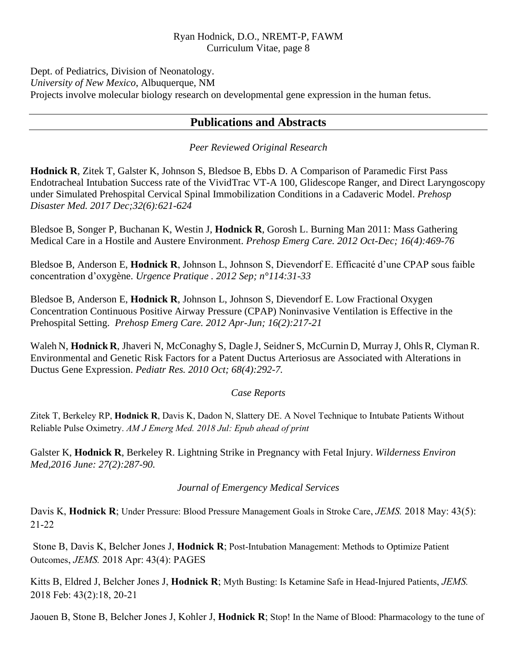Dept. of Pediatrics, Division of Neonatology. *University of New Mexico*, Albuquerque, NM Projects involve molecular biology research on developmental gene expression in the human fetus.

## **Publications and Abstracts**

## *Peer Reviewed Original Research*

**Hodnick R**, Zitek T, Galster K, Johnson S, Bledsoe B, Ebbs D. A Comparison of Paramedic First Pass Endotracheal Intubation Success rate of the VividTrac VT-A 100, Glidescope Ranger, and Direct Laryngoscopy under Simulated Prehospital Cervical Spinal Immobilization Conditions in a Cadaveric Model. *Prehosp Disaster Med. 2017 Dec;32(6):621-624*

Bledsoe B, Songer P, Buchanan K, Westin J, **Hodnick R**, Gorosh L. Burning Man 2011: Mass Gathering Medical Care in a Hostile and Austere Environment. *Prehosp Emerg Care. 2012 Oct-Dec; 16(4):469-76*

Bledsoe B, Anderson E, **Hodnick R**, Johnson L, Johnson S, Dievendorf E. Efficacité d'une CPAP sous faible concentration d'oxygène. *Urgence Pratique . 2012 Sep; n°114:31-33*

Bledsoe B, Anderson E, **Hodnick R**, Johnson L, Johnson S, Dievendorf E. Low Fractional Oxygen Concentration Continuous Positive Airway Pressure (CPAP) Noninvasive Ventilation is Effective in the Prehospital Setting. *Prehosp Emerg Care. 2012 Apr-Jun; 16(2):217-21*

Waleh N, **Hodnick R**, Jhaveri N, McConaghy S, Dagle J, Seidner S, McCurnin D, Murray J, Ohls R, Clyman R. Environmental and Genetic Risk Factors for a Patent Ductus Arteriosus are Associated with Alterations in Ductus Gene Expression. *Pediatr Res. 2010 Oct; 68(4):292-7.*

#### *Case Reports*

Zitek T, Berkeley RP, **Hodnick R**, Davis K, Dadon N, Slattery DE. A Novel Technique to Intubate Patients Without Reliable Pulse Oximetry. *AM J Emerg Med. 2018 Jul: Epub ahead of print*

Galster K, **Hodnick R**, Berkeley R. Lightning Strike in Pregnancy with Fetal Injury. *[Wilderness Environ](http://www.ncbi.nlm.nih.gov/pubmed/26723546)  [Med,](http://www.ncbi.nlm.nih.gov/pubmed/26723546)2016 June: 27(2):287-90.*

#### *Journal of Emergency Medical Services*

Davis K, **Hodnick R**; Under Pressure: Blood Pressure Management Goals in Stroke Care, *JEMS.* 2018 May: 43(5): 21-22

Stone B, Davis K, Belcher Jones J, **Hodnick R**; Post-Intubation Management: Methods to Optimize Patient Outcomes, *JEMS.* 2018 Apr: 43(4): PAGES

Kitts B, Eldred J, Belcher Jones J, **Hodnick R**; Myth Busting: Is Ketamine Safe in Head-Injured Patients, *JEMS.* 2018 Feb: 43(2):18, 20-21

Jaouen B, Stone B, Belcher Jones J, Kohler J, **Hodnick R**; Stop! In the Name of Blood: Pharmacology to the tune of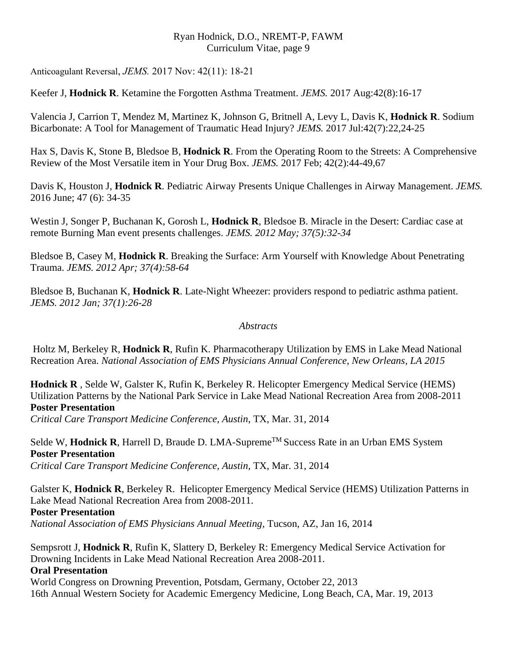Anticoagulant Reversal, *JEMS.* 2017 Nov: 42(11): 18-21

Keefer J, **Hodnick R**. Ketamine the Forgotten Asthma Treatment. *JEMS.* 2017 Aug:42(8):16-17

Valencia J, Carrion T, Mendez M, Martinez K, Johnson G, Britnell A, Levy L, Davis K, **Hodnick R**. Sodium Bicarbonate: A Tool for Management of Traumatic Head Injury? *JEMS.* 2017 Jul:42(7):22,24-25

Hax S, Davis K, Stone B, Bledsoe B, **Hodnick R**. From the Operating Room to the Streets: A Comprehensive Review of the Most Versatile item in Your Drug Box. *JEMS.* 2017 Feb; 42(2):44-49,67

Davis K, Houston J, **Hodnick R**. Pediatric Airway Presents Unique Challenges in Airway Management. *JEMS.* 2016 June; 47 (6): 34-35

Westin J, Songer P, Buchanan K, Gorosh L, **Hodnick R**, Bledsoe B. Miracle in the Desert: Cardiac case at remote Burning Man event presents challenges. *JEMS. 2012 May; 37(5):32-34*

Bledsoe B, Casey M, **Hodnick R**. Breaking the Surface: Arm Yourself with Knowledge About Penetrating Trauma. *JEMS. 2012 Apr; 37(4):58-64*

Bledsoe B, Buchanan K, **Hodnick R**. Late-Night Wheezer: providers respond to pediatric asthma patient. *JEMS. 2012 Jan; 37(1):26-28*

## *Abstracts*

Holtz M, Berkeley R, **Hodnick R**, Rufin K. Pharmacotherapy Utilization by EMS in Lake Mead National Recreation Area. *National Association of EMS Physicians Annual Conference, New Orleans, LA 2015*

**Hodnick R** , Selde W, Galster K, Rufin K, Berkeley R. Helicopter Emergency Medical Service (HEMS) Utilization Patterns by the National Park Service in Lake Mead National Recreation Area from 2008-2011 **Poster Presentation**

*Critical Care Transport Medicine Conference, Austin*, TX, Mar. 31, 2014

Selde W, **Hodnick R**, Harrell D, Braude D. LMA-Supreme<sup>TM</sup> Success Rate in an Urban EMS System **Poster Presentation** *Critical Care Transport Medicine Conference, Austin*, TX, Mar. 31, 2014

Galster K, **Hodnick R**, Berkeley R. Helicopter Emergency Medical Service (HEMS) Utilization Patterns in Lake Mead National Recreation Area from 2008-2011. **Poster Presentation**

*National Association of EMS Physicians Annual Meeting*, Tucson, AZ, Jan 16, 2014

Sempsrott J, **Hodnick R**, Rufin K, Slattery D, Berkeley R: Emergency Medical Service Activation for Drowning Incidents in Lake Mead National Recreation Area 2008-2011. **Oral Presentation**

World Congress on Drowning Prevention, Potsdam, Germany, October 22, 2013 16th Annual Western Society for Academic Emergency Medicine, Long Beach, CA, Mar. 19, 2013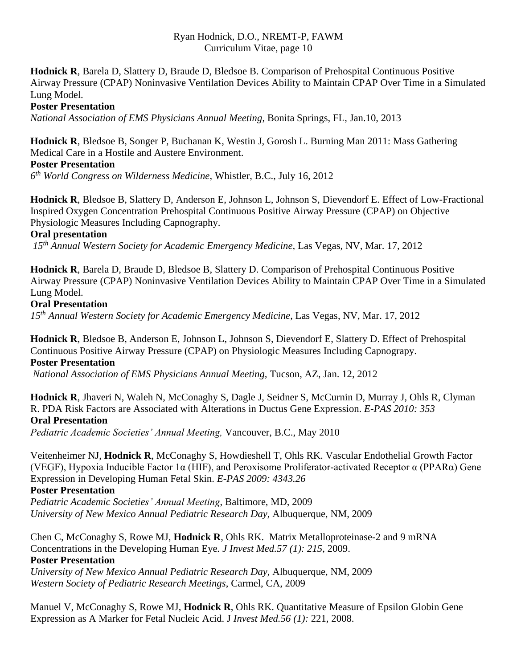**Hodnick R**, Barela D, Slattery D, Braude D, Bledsoe B. Comparison of Prehospital Continuous Positive Airway Pressure (CPAP) Noninvasive Ventilation Devices Ability to Maintain CPAP Over Time in a Simulated Lung Model.

## **Poster Presentation**

*National Association of EMS Physicians Annual Meeting*, Bonita Springs, FL, Jan.10, 2013

**Hodnick R**, Bledsoe B, Songer P, Buchanan K, Westin J, Gorosh L. Burning Man 2011: Mass Gathering Medical Care in a Hostile and Austere Environment.

## **Poster Presentation**

*6 th World Congress on Wilderness Medicine*, Whistler, B.C., July 16, 2012

**Hodnick R**, Bledsoe B, Slattery D, Anderson E, Johnson L, Johnson S, Dievendorf E. Effect of Low-Fractional Inspired Oxygen Concentration Prehospital Continuous Positive Airway Pressure (CPAP) on Objective Physiologic Measures Including Capnography.

## **Oral presentation**

*15th Annual Western Society for Academic Emergency Medicine,* Las Vegas, NV, Mar. 17, 2012

**Hodnick R**, Barela D, Braude D, Bledsoe B, Slattery D. Comparison of Prehospital Continuous Positive Airway Pressure (CPAP) Noninvasive Ventilation Devices Ability to Maintain CPAP Over Time in a Simulated Lung Model.

## **Oral Presentation**

*15th Annual Western Society for Academic Emergency Medicine*, Las Vegas, NV, Mar. 17, 2012

**Hodnick R**, Bledsoe B, Anderson E, Johnson L, Johnson S, Dievendorf E, Slattery D. Effect of Prehospital Continuous Positive Airway Pressure (CPAP) on Physiologic Measures Including Capnograpy. **Poster Presentation**

*National Association of EMS Physicians Annual Meeting,* Tucson, AZ, Jan. 12, 2012

**Hodnick R**, Jhaveri N, Waleh N, McConaghy S, Dagle J, Seidner S, McCurnin D, Murray J, Ohls R, Clyman R. PDA Risk Factors are Associated with Alterations in Ductus Gene Expression. *E-PAS 2010: 353* **Oral Presentation**

*Pediatric Academic Societies' Annual Meeting,* Vancouver, B.C., May 2010

Veitenheimer NJ, **Hodnick R**, McConaghy S, Howdieshell T, Ohls RK. Vascular Endothelial Growth Factor (VEGF), Hypoxia Inducible Factor 1α (HIF), and Peroxisome Proliferator-activated Receptor α (PPARα) Gene Expression in Developing Human Fetal Skin. *E-PAS 2009: 4343.26*

## **Poster Presentation**

*Pediatric Academic Societies' Annual Meeting*, Baltimore, MD, 2009 *University of New Mexico Annual Pediatric Research Day,* Albuquerque, NM, 2009

Chen C, McConaghy S, Rowe MJ, **Hodnick R**, Ohls RK. Matrix Metalloproteinase-2 and 9 mRNA Concentrations in the Developing Human Eye*. J Invest Med.57 (1): 215*, 2009. **Poster Presentation**

*University of New Mexico Annual Pediatric Research Day,* Albuquerque, NM, 2009 *Western Society of Pediatric Research Meetings*, Carmel, CA, 2009

Manuel V, McConaghy S, Rowe MJ, **Hodnick R**, Ohls RK. Quantitative Measure of Epsilon Globin Gene Expression as A Marker for Fetal Nucleic Acid. J *Invest Med.56 (1):* 221, 2008.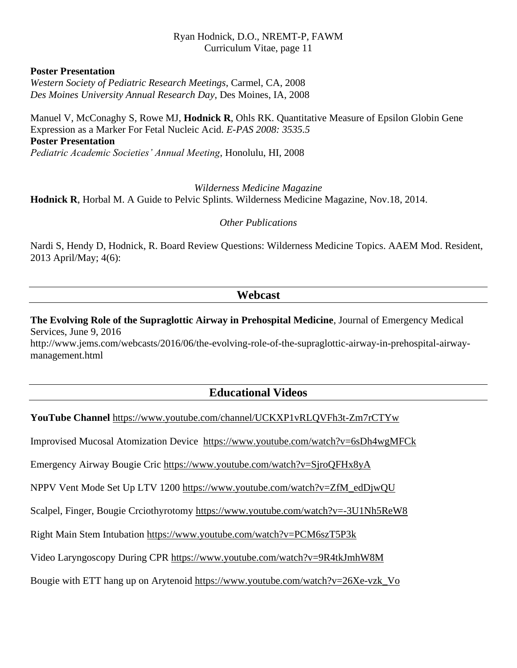#### **Poster Presentation**

*Western Society of Pediatric Research Meetings*, Carmel, CA, 2008 *Des Moines University Annual Research Day*, Des Moines, IA, 2008

Manuel V, McConaghy S, Rowe MJ, **Hodnick R**, Ohls RK. Quantitative Measure of Epsilon Globin Gene Expression as a Marker For Fetal Nucleic Acid. *E-PAS 2008: 3535.5* **Poster Presentation** *Pediatric Academic Societies' Annual Meeting*, Honolulu, HI, 2008

*Wilderness Medicine Magazine* **Hodnick R**, Horbal M. A Guide to Pelvic Splints. Wilderness Medicine Magazine, Nov.18, 2014.

*Other Publications*

Nardi S, Hendy D, Hodnick, R. Board Review Questions: Wilderness Medicine Topics. AAEM Mod. Resident, 2013 April/May; 4(6):

## **Webcast**

**The Evolving Role of the Supraglottic Airway in Prehospital Medicine**, Journal of Emergency Medical Services, June 9, 2016 http://www.jems.com/webcasts/2016/06/the-evolving-role-of-the-supraglottic-airway-in-prehospital-airwaymanagement.html

## **Educational Videos**

**YouTube Channel** <https://www.youtube.com/channel/UCKXP1vRLQVFh3t-Zm7rCTYw>

Improvised Mucosal Atomization Device <https://www.youtube.com/watch?v=6sDh4wgMFCk>

Emergency Airway Bougie Cric<https://www.youtube.com/watch?v=SjroQFHx8yA>

NPPV Vent Mode Set Up LTV 1200 [https://www.youtube.com/watch?v=ZfM\\_edDjwQU](https://www.youtube.com/watch?v=ZfM_edDjwQU)

Scalpel, Finger, Bougie Crciothyrotomy<https://www.youtube.com/watch?v=-3U1Nh5ReW8>

Right Main Stem Intubation<https://www.youtube.com/watch?v=PCM6szT5P3k>

Video Laryngoscopy During CPR <https://www.youtube.com/watch?v=9R4tkJmhW8M>

Bougie with ETT hang up on Arytenoid https://www.youtube.com/watch?v=26Xe-vzk\_Vo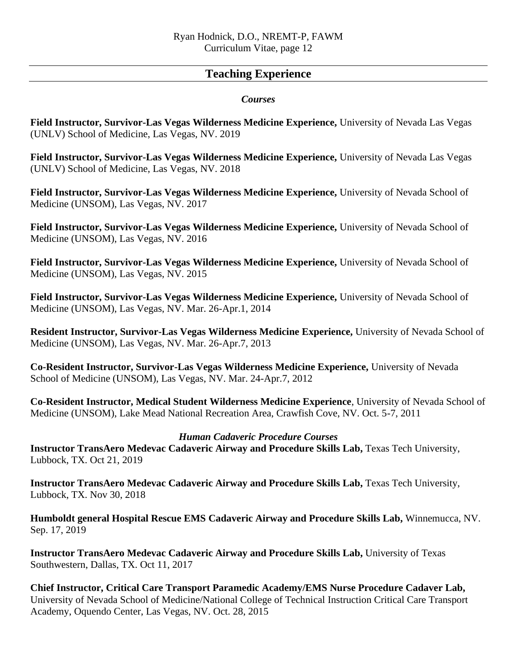## **Teaching Experience**

## *Courses*

**Field Instructor, Survivor-Las Vegas Wilderness Medicine Experience,** University of Nevada Las Vegas (UNLV) School of Medicine, Las Vegas, NV. 2019

**Field Instructor, Survivor-Las Vegas Wilderness Medicine Experience,** University of Nevada Las Vegas (UNLV) School of Medicine, Las Vegas, NV. 2018

**Field Instructor, Survivor-Las Vegas Wilderness Medicine Experience,** University of Nevada School of Medicine (UNSOM), Las Vegas, NV. 2017

**Field Instructor, Survivor-Las Vegas Wilderness Medicine Experience,** University of Nevada School of Medicine (UNSOM), Las Vegas, NV. 2016

**Field Instructor, Survivor-Las Vegas Wilderness Medicine Experience,** University of Nevada School of Medicine (UNSOM), Las Vegas, NV. 2015

**Field Instructor, Survivor-Las Vegas Wilderness Medicine Experience,** University of Nevada School of Medicine (UNSOM), Las Vegas, NV. Mar. 26-Apr.1, 2014

**Resident Instructor, Survivor-Las Vegas Wilderness Medicine Experience,** University of Nevada School of Medicine (UNSOM), Las Vegas, NV. Mar. 26-Apr.7, 2013

**Co-Resident Instructor, Survivor-Las Vegas Wilderness Medicine Experience,** University of Nevada School of Medicine (UNSOM), Las Vegas, NV. Mar. 24-Apr.7, 2012

**Co-Resident Instructor, Medical Student Wilderness Medicine Experience**, University of Nevada School of Medicine (UNSOM), Lake Mead National Recreation Area, Crawfish Cove, NV. Oct. 5-7, 2011

## *Human Cadaveric Procedure Courses*

**Instructor TransAero Medevac Cadaveric Airway and Procedure Skills Lab,** Texas Tech University, Lubbock, TX. Oct 21, 2019

**Instructor TransAero Medevac Cadaveric Airway and Procedure Skills Lab,** Texas Tech University, Lubbock, TX. Nov 30, 2018

**Humboldt general Hospital Rescue EMS Cadaveric Airway and Procedure Skills Lab,** Winnemucca, NV. Sep. 17, 2019

**Instructor TransAero Medevac Cadaveric Airway and Procedure Skills Lab,** University of Texas Southwestern, Dallas, TX. Oct 11, 2017

**Chief Instructor, Critical Care Transport Paramedic Academy/EMS Nurse Procedure Cadaver Lab,**  University of Nevada School of Medicine/National College of Technical Instruction Critical Care Transport Academy, Oquendo Center, Las Vegas, NV. Oct. 28, 2015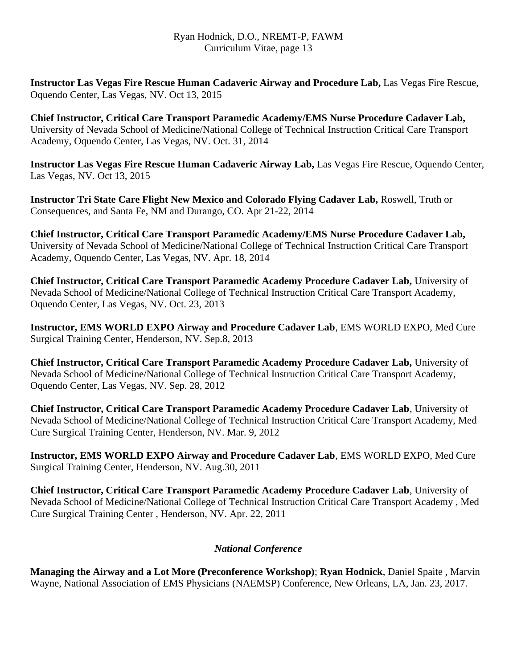**Instructor Las Vegas Fire Rescue Human Cadaveric Airway and Procedure Lab,** Las Vegas Fire Rescue, Oquendo Center, Las Vegas, NV. Oct 13, 2015

**Chief Instructor, Critical Care Transport Paramedic Academy/EMS Nurse Procedure Cadaver Lab,**  University of Nevada School of Medicine/National College of Technical Instruction Critical Care Transport Academy, Oquendo Center, Las Vegas, NV. Oct. 31, 2014

**Instructor Las Vegas Fire Rescue Human Cadaveric Airway Lab,** Las Vegas Fire Rescue, Oquendo Center, Las Vegas, NV. Oct 13, 2015

**Instructor Tri State Care Flight New Mexico and Colorado Flying Cadaver Lab,** Roswell, Truth or Consequences, and Santa Fe, NM and Durango, CO. Apr 21-22, 2014

**Chief Instructor, Critical Care Transport Paramedic Academy/EMS Nurse Procedure Cadaver Lab,**  University of Nevada School of Medicine/National College of Technical Instruction Critical Care Transport Academy, Oquendo Center, Las Vegas, NV. Apr. 18, 2014

**Chief Instructor, Critical Care Transport Paramedic Academy Procedure Cadaver Lab,** University of Nevada School of Medicine/National College of Technical Instruction Critical Care Transport Academy, Oquendo Center, Las Vegas, NV. Oct. 23, 2013

**Instructor, EMS WORLD EXPO Airway and Procedure Cadaver Lab**, EMS WORLD EXPO, Med Cure Surgical Training Center, Henderson, NV. Sep.8, 2013

**Chief Instructor, Critical Care Transport Paramedic Academy Procedure Cadaver Lab,** University of Nevada School of Medicine/National College of Technical Instruction Critical Care Transport Academy, Oquendo Center, Las Vegas, NV. Sep. 28, 2012

**Chief Instructor, Critical Care Transport Paramedic Academy Procedure Cadaver Lab**, University of Nevada School of Medicine/National College of Technical Instruction Critical Care Transport Academy, Med Cure Surgical Training Center, Henderson, NV. Mar. 9, 2012

**Instructor, EMS WORLD EXPO Airway and Procedure Cadaver Lab**, EMS WORLD EXPO, Med Cure Surgical Training Center, Henderson, NV. Aug.30, 2011

**Chief Instructor, Critical Care Transport Paramedic Academy Procedure Cadaver Lab**, University of Nevada School of Medicine/National College of Technical Instruction Critical Care Transport Academy , Med Cure Surgical Training Center , Henderson, NV. Apr. 22, 2011

## *National Conference*

**Managing the Airway and a Lot More (Preconference Workshop)**; **Ryan Hodnick**, Daniel Spaite , Marvin Wayne, National Association of EMS Physicians (NAEMSP) Conference, New Orleans, LA, Jan. 23, 2017.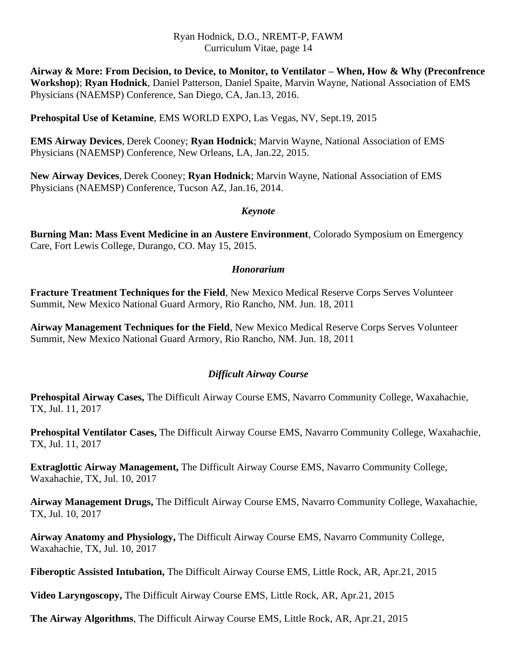**Airway & More: From Decision, to Device, to Monitor, to Ventilator – When, How & Why (Preconfrence Workshop)**; **Ryan Hodnick**, Daniel Patterson, Daniel Spaite, Marvin Wayne, National Association of EMS Physicians (NAEMSP) Conference, San Diego, CA, Jan.13, 2016.

**Prehospital Use of Ketamine**, EMS WORLD EXPO, Las Vegas, NV, Sept.19, 2015

**EMS Airway Devices**, Derek Cooney; **Ryan Hodnick**; Marvin Wayne, National Association of EMS Physicians (NAEMSP) Conference, New Orleans, LA, Jan.22, 2015.

**New Airway Devices**, Derek Cooney; **Ryan Hodnick**; Marvin Wayne, National Association of EMS Physicians (NAEMSP) Conference, Tucson AZ, Jan.16, 2014.

## *Keynote*

**Burning Man: Mass Event Medicine in an Austere Environment**, Colorado Symposium on Emergency Care, Fort Lewis College, Durango, CO. May 15, 2015.

## *Honorarium*

**Fracture Treatment Techniques for the Field**, New Mexico Medical Reserve Corps Serves Volunteer Summit, New Mexico National Guard Armory, Rio Rancho, NM. Jun. 18, 2011

**Airway Management Techniques for the Field**, New Mexico Medical Reserve Corps Serves Volunteer Summit, New Mexico National Guard Armory, Rio Rancho, NM. Jun. 18, 2011

## *Difficult Airway Course*

**Prehospital Airway Cases,** The Difficult Airway Course EMS, Navarro Community College, Waxahachie, TX, Jul. 11, 2017

**Prehospital Ventilator Cases,** The Difficult Airway Course EMS, Navarro Community College, Waxahachie, TX, Jul. 11, 2017

**Extraglottic Airway Management,** The Difficult Airway Course EMS, Navarro Community College, Waxahachie, TX, Jul. 10, 2017

**Airway Management Drugs,** The Difficult Airway Course EMS, Navarro Community College, Waxahachie, TX, Jul. 10, 2017

**Airway Anatomy and Physiology,** The Difficult Airway Course EMS, Navarro Community College, Waxahachie, TX, Jul. 10, 2017

**Fiberoptic Assisted Intubation,** The Difficult Airway Course EMS, Little Rock, AR, Apr.21, 2015

**Video Laryngoscopy,** The Difficult Airway Course EMS, Little Rock, AR, Apr.21, 2015

**The Airway Algorithms**, The Difficult Airway Course EMS, Little Rock, AR, Apr.21, 2015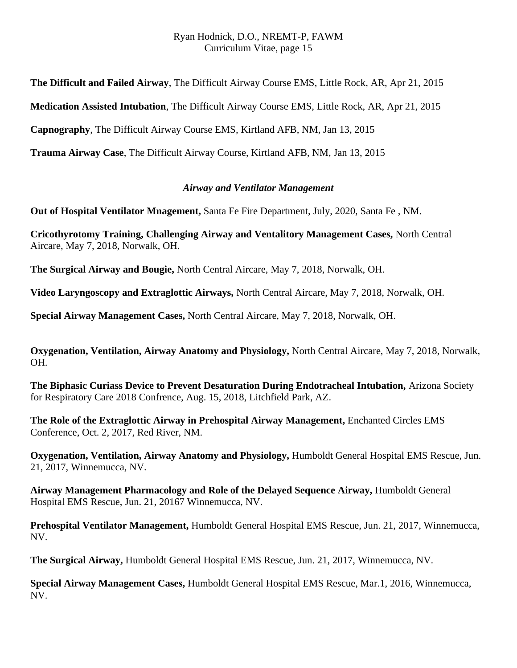**The Difficult and Failed Airway**, The Difficult Airway Course EMS, Little Rock, AR, Apr 21, 2015

**Medication Assisted Intubation**, The Difficult Airway Course EMS, Little Rock, AR, Apr 21, 2015

**Capnography**, The Difficult Airway Course EMS, Kirtland AFB, NM, Jan 13, 2015

**Trauma Airway Case**, The Difficult Airway Course, Kirtland AFB, NM, Jan 13, 2015

## *Airway and Ventilator Management*

**Out of Hospital Ventilator Mnagement,** Santa Fe Fire Department, July, 2020, Santa Fe , NM.

**Cricothyrotomy Training, Challenging Airway and Ventalitory Management Cases,** North Central Aircare, May 7, 2018, Norwalk, OH.

**The Surgical Airway and Bougie,** North Central Aircare, May 7, 2018, Norwalk, OH.

**Video Laryngoscopy and Extraglottic Airways,** North Central Aircare, May 7, 2018, Norwalk, OH.

**Special Airway Management Cases,** North Central Aircare, May 7, 2018, Norwalk, OH.

**Oxygenation, Ventilation, Airway Anatomy and Physiology,** North Central Aircare, May 7, 2018, Norwalk, OH.

**The Biphasic Curiass Device to Prevent Desaturation During Endotracheal Intubation,** Arizona Society for Respiratory Care 2018 Confrence, Aug. 15, 2018, Litchfield Park, AZ.

**The Role of the Extraglottic Airway in Prehospital Airway Management,** Enchanted Circles EMS Conference, Oct. 2, 2017, Red River, NM.

**Oxygenation, Ventilation, Airway Anatomy and Physiology,** Humboldt General Hospital EMS Rescue, Jun. 21, 2017, Winnemucca, NV.

**Airway Management Pharmacology and Role of the Delayed Sequence Airway,** Humboldt General Hospital EMS Rescue, Jun. 21, 20167 Winnemucca, NV.

**Prehospital Ventilator Management,** Humboldt General Hospital EMS Rescue, Jun. 21, 2017, Winnemucca, NV.

**The Surgical Airway,** Humboldt General Hospital EMS Rescue, Jun. 21, 2017, Winnemucca, NV.

**Special Airway Management Cases,** Humboldt General Hospital EMS Rescue, Mar.1, 2016, Winnemucca, NV.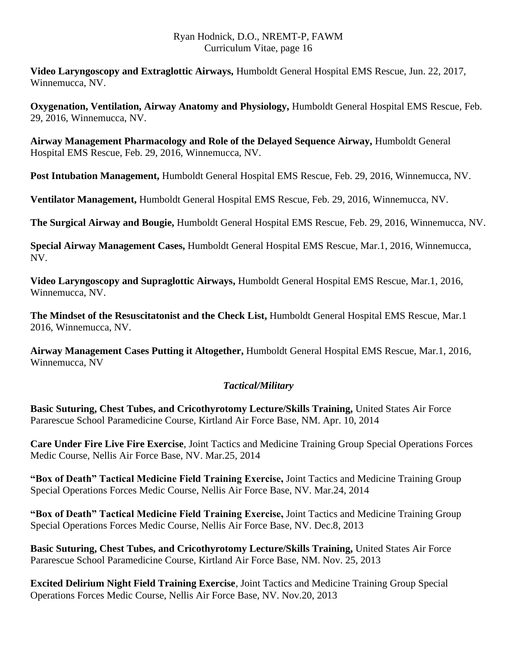**Video Laryngoscopy and Extraglottic Airways,** Humboldt General Hospital EMS Rescue, Jun. 22, 2017, Winnemucca, NV.

**Oxygenation, Ventilation, Airway Anatomy and Physiology,** Humboldt General Hospital EMS Rescue, Feb. 29, 2016, Winnemucca, NV.

**Airway Management Pharmacology and Role of the Delayed Sequence Airway,** Humboldt General Hospital EMS Rescue, Feb. 29, 2016, Winnemucca, NV.

**Post Intubation Management,** Humboldt General Hospital EMS Rescue, Feb. 29, 2016, Winnemucca, NV.

**Ventilator Management,** Humboldt General Hospital EMS Rescue, Feb. 29, 2016, Winnemucca, NV.

**The Surgical Airway and Bougie,** Humboldt General Hospital EMS Rescue, Feb. 29, 2016, Winnemucca, NV.

**Special Airway Management Cases,** Humboldt General Hospital EMS Rescue, Mar.1, 2016, Winnemucca, NV.

**Video Laryngoscopy and Supraglottic Airways,** Humboldt General Hospital EMS Rescue, Mar.1, 2016, Winnemucca, NV.

**The Mindset of the Resuscitatonist and the Check List,** Humboldt General Hospital EMS Rescue, Mar.1 2016, Winnemucca, NV.

**Airway Management Cases Putting it Altogether,** Humboldt General Hospital EMS Rescue, Mar.1, 2016, Winnemucca, NV

## *Tactical/Military*

**Basic Suturing, Chest Tubes, and Cricothyrotomy Lecture/Skills Training,** United States Air Force Pararescue School Paramedicine Course, Kirtland Air Force Base, NM. Apr. 10, 2014

**Care Under Fire Live Fire Exercise**, Joint Tactics and Medicine Training Group Special Operations Forces Medic Course, Nellis Air Force Base, NV. Mar.25, 2014

**"Box of Death" Tactical Medicine Field Training Exercise,** Joint Tactics and Medicine Training Group Special Operations Forces Medic Course, Nellis Air Force Base, NV. Mar.24, 2014

**"Box of Death" Tactical Medicine Field Training Exercise,** Joint Tactics and Medicine Training Group Special Operations Forces Medic Course, Nellis Air Force Base, NV. Dec.8, 2013

**Basic Suturing, Chest Tubes, and Cricothyrotomy Lecture/Skills Training,** United States Air Force Pararescue School Paramedicine Course, Kirtland Air Force Base, NM. Nov. 25, 2013

**Excited Delirium Night Field Training Exercise**, Joint Tactics and Medicine Training Group Special Operations Forces Medic Course, Nellis Air Force Base, NV. Nov.20, 2013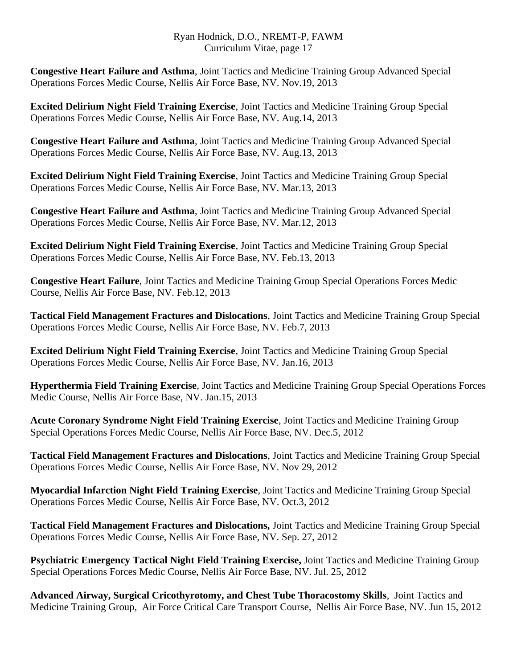**Congestive Heart Failure and Asthma**, Joint Tactics and Medicine Training Group Advanced Special Operations Forces Medic Course, Nellis Air Force Base, NV. Nov.19, 2013

**Excited Delirium Night Field Training Exercise**, Joint Tactics and Medicine Training Group Special Operations Forces Medic Course, Nellis Air Force Base, NV. Aug.14, 2013

**Congestive Heart Failure and Asthma**, Joint Tactics and Medicine Training Group Advanced Special Operations Forces Medic Course, Nellis Air Force Base, NV. Aug.13, 2013

**Excited Delirium Night Field Training Exercise**, Joint Tactics and Medicine Training Group Special Operations Forces Medic Course, Nellis Air Force Base, NV. Mar.13, 2013

**Congestive Heart Failure and Asthma**, Joint Tactics and Medicine Training Group Advanced Special Operations Forces Medic Course, Nellis Air Force Base, NV. Mar.12, 2013

**Excited Delirium Night Field Training Exercise**, Joint Tactics and Medicine Training Group Special Operations Forces Medic Course, Nellis Air Force Base, NV. Feb.13, 2013

**Congestive Heart Failure**, Joint Tactics and Medicine Training Group Special Operations Forces Medic Course, Nellis Air Force Base, NV. Feb.12, 2013

**Tactical Field Management Fractures and Dislocations**, Joint Tactics and Medicine Training Group Special Operations Forces Medic Course, Nellis Air Force Base, NV. Feb.7, 2013

**Excited Delirium Night Field Training Exercise**, Joint Tactics and Medicine Training Group Special Operations Forces Medic Course, Nellis Air Force Base, NV. Jan.16, 2013

**Hyperthermia Field Training Exercise**, Joint Tactics and Medicine Training Group Special Operations Forces Medic Course, Nellis Air Force Base, NV. Jan.15, 2013

**Acute Coronary Syndrome Night Field Training Exercise**, Joint Tactics and Medicine Training Group Special Operations Forces Medic Course, Nellis Air Force Base, NV. Dec.5, 2012

**Tactical Field Management Fractures and Dislocations**, Joint Tactics and Medicine Training Group Special Operations Forces Medic Course, Nellis Air Force Base, NV. Nov 29, 2012

**Myocardial Infarction Night Field Training Exercise**, Joint Tactics and Medicine Training Group Special Operations Forces Medic Course, Nellis Air Force Base, NV. Oct.3, 2012

**Tactical Field Management Fractures and Dislocations,** Joint Tactics and Medicine Training Group Special Operations Forces Medic Course, Nellis Air Force Base, NV. Sep. 27, 2012

**Psychiatric Emergency Tactical Night Field Training Exercise,** Joint Tactics and Medicine Training Group Special Operations Forces Medic Course, Nellis Air Force Base, NV. Jul. 25, 2012

**Advanced Airway, Surgical Cricothyrotomy, and Chest Tube Thoracostomy Skills**, Joint Tactics and Medicine Training Group, Air Force Critical Care Transport Course, Nellis Air Force Base, NV. Jun 15, 2012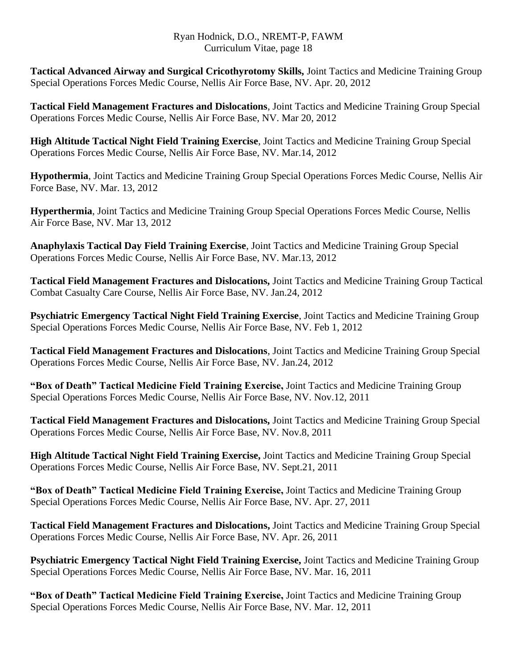**Tactical Advanced Airway and Surgical Cricothyrotomy Skills,** Joint Tactics and Medicine Training Group Special Operations Forces Medic Course, Nellis Air Force Base, NV. Apr. 20, 2012

**Tactical Field Management Fractures and Dislocations**, Joint Tactics and Medicine Training Group Special Operations Forces Medic Course, Nellis Air Force Base, NV. Mar 20, 2012

**High Altitude Tactical Night Field Training Exercise**, Joint Tactics and Medicine Training Group Special Operations Forces Medic Course, Nellis Air Force Base, NV. Mar.14, 2012

**Hypothermia**, Joint Tactics and Medicine Training Group Special Operations Forces Medic Course, Nellis Air Force Base, NV. Mar. 13, 2012

**Hyperthermia**, Joint Tactics and Medicine Training Group Special Operations Forces Medic Course, Nellis Air Force Base, NV. Mar 13, 2012

**Anaphylaxis Tactical Day Field Training Exercise**, Joint Tactics and Medicine Training Group Special Operations Forces Medic Course, Nellis Air Force Base, NV. Mar.13, 2012

**Tactical Field Management Fractures and Dislocations,** Joint Tactics and Medicine Training Group Tactical Combat Casualty Care Course, Nellis Air Force Base, NV. Jan.24, 2012

**Psychiatric Emergency Tactical Night Field Training Exercise**, Joint Tactics and Medicine Training Group Special Operations Forces Medic Course, Nellis Air Force Base, NV. Feb 1, 2012

**Tactical Field Management Fractures and Dislocations**, Joint Tactics and Medicine Training Group Special Operations Forces Medic Course, Nellis Air Force Base, NV. Jan.24, 2012

**"Box of Death" Tactical Medicine Field Training Exercise,** Joint Tactics and Medicine Training Group Special Operations Forces Medic Course, Nellis Air Force Base, NV. Nov.12, 2011

**Tactical Field Management Fractures and Dislocations,** Joint Tactics and Medicine Training Group Special Operations Forces Medic Course, Nellis Air Force Base, NV. Nov.8, 2011

**High Altitude Tactical Night Field Training Exercise,** Joint Tactics and Medicine Training Group Special Operations Forces Medic Course, Nellis Air Force Base, NV. Sept.21, 2011

**"Box of Death" Tactical Medicine Field Training Exercise,** Joint Tactics and Medicine Training Group Special Operations Forces Medic Course, Nellis Air Force Base, NV. Apr. 27, 2011

**Tactical Field Management Fractures and Dislocations,** Joint Tactics and Medicine Training Group Special Operations Forces Medic Course, Nellis Air Force Base, NV. Apr. 26, 2011

**Psychiatric Emergency Tactical Night Field Training Exercise,** Joint Tactics and Medicine Training Group Special Operations Forces Medic Course, Nellis Air Force Base, NV. Mar. 16, 2011

**"Box of Death" Tactical Medicine Field Training Exercise,** Joint Tactics and Medicine Training Group Special Operations Forces Medic Course, Nellis Air Force Base, NV. Mar. 12, 2011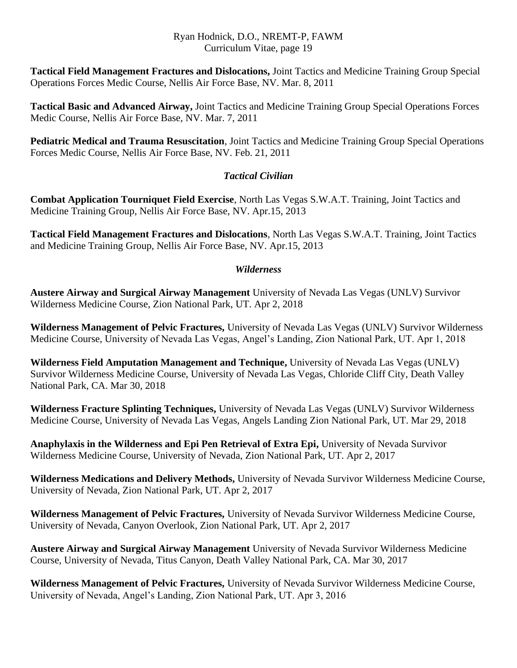**Tactical Field Management Fractures and Dislocations,** Joint Tactics and Medicine Training Group Special Operations Forces Medic Course, Nellis Air Force Base, NV. Mar. 8, 2011

**Tactical Basic and Advanced Airway,** Joint Tactics and Medicine Training Group Special Operations Forces Medic Course, Nellis Air Force Base, NV. Mar. 7, 2011

**Pediatric Medical and Trauma Resuscitation**, Joint Tactics and Medicine Training Group Special Operations Forces Medic Course, Nellis Air Force Base, NV. Feb. 21, 2011

## *Tactical Civilian*

**Combat Application Tourniquet Field Exercise**, North Las Vegas S.W.A.T. Training, Joint Tactics and Medicine Training Group, Nellis Air Force Base, NV. Apr.15, 2013

**Tactical Field Management Fractures and Dislocations**, North Las Vegas S.W.A.T. Training, Joint Tactics and Medicine Training Group, Nellis Air Force Base, NV. Apr.15, 2013

## *Wilderness*

**Austere Airway and Surgical Airway Management** University of Nevada Las Vegas (UNLV) Survivor Wilderness Medicine Course, Zion National Park, UT. Apr 2, 2018

**Wilderness Management of Pelvic Fractures,** University of Nevada Las Vegas (UNLV) Survivor Wilderness Medicine Course, University of Nevada Las Vegas, Angel's Landing, Zion National Park, UT. Apr 1, 2018

**Wilderness Field Amputation Management and Technique,** University of Nevada Las Vegas (UNLV) Survivor Wilderness Medicine Course, University of Nevada Las Vegas, Chloride Cliff City, Death Valley National Park, CA. Mar 30, 2018

**Wilderness Fracture Splinting Techniques,** University of Nevada Las Vegas (UNLV) Survivor Wilderness Medicine Course, University of Nevada Las Vegas, Angels Landing Zion National Park, UT. Mar 29, 2018

**Anaphylaxis in the Wilderness and Epi Pen Retrieval of Extra Epi,** University of Nevada Survivor Wilderness Medicine Course, University of Nevada, Zion National Park, UT. Apr 2, 2017

**Wilderness Medications and Delivery Methods,** University of Nevada Survivor Wilderness Medicine Course, University of Nevada, Zion National Park, UT. Apr 2, 2017

**Wilderness Management of Pelvic Fractures,** University of Nevada Survivor Wilderness Medicine Course, University of Nevada, Canyon Overlook, Zion National Park, UT. Apr 2, 2017

**Austere Airway and Surgical Airway Management** University of Nevada Survivor Wilderness Medicine Course, University of Nevada, Titus Canyon, Death Valley National Park, CA. Mar 30, 2017

**Wilderness Management of Pelvic Fractures,** University of Nevada Survivor Wilderness Medicine Course, University of Nevada, Angel's Landing, Zion National Park, UT. Apr 3, 2016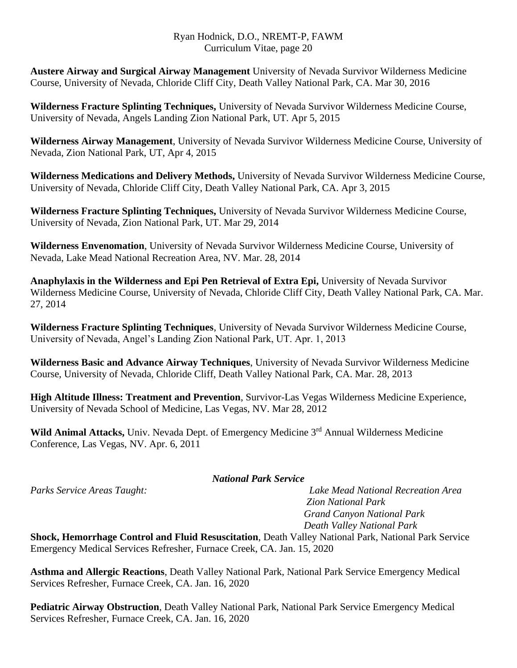**Austere Airway and Surgical Airway Management** University of Nevada Survivor Wilderness Medicine Course, University of Nevada, Chloride Cliff City, Death Valley National Park, CA. Mar 30, 2016

**Wilderness Fracture Splinting Techniques,** University of Nevada Survivor Wilderness Medicine Course, University of Nevada, Angels Landing Zion National Park, UT. Apr 5, 2015

**Wilderness Airway Management**, University of Nevada Survivor Wilderness Medicine Course, University of Nevada, Zion National Park, UT, Apr 4, 2015

**Wilderness Medications and Delivery Methods,** University of Nevada Survivor Wilderness Medicine Course, University of Nevada, Chloride Cliff City, Death Valley National Park, CA. Apr 3, 2015

**Wilderness Fracture Splinting Techniques,** University of Nevada Survivor Wilderness Medicine Course, University of Nevada, Zion National Park, UT. Mar 29, 2014

**Wilderness Envenomation**, University of Nevada Survivor Wilderness Medicine Course, University of Nevada, Lake Mead National Recreation Area, NV. Mar. 28, 2014

**Anaphylaxis in the Wilderness and Epi Pen Retrieval of Extra Epi,** University of Nevada Survivor Wilderness Medicine Course, University of Nevada, Chloride Cliff City, Death Valley National Park, CA. Mar. 27, 2014

**Wilderness Fracture Splinting Techniques**, University of Nevada Survivor Wilderness Medicine Course, University of Nevada, Angel's Landing Zion National Park, UT. Apr. 1, 2013

**Wilderness Basic and Advance Airway Techniques**, University of Nevada Survivor Wilderness Medicine Course, University of Nevada, Chloride Cliff, Death Valley National Park, CA. Mar. 28, 2013

**High Altitude Illness: Treatment and Prevention**, Survivor-Las Vegas Wilderness Medicine Experience, University of Nevada School of Medicine, Las Vegas, NV. Mar 28, 2012

Wild Animal Attacks, Univ. Nevada Dept. of Emergency Medicine 3<sup>rd</sup> Annual Wilderness Medicine Conference, Las Vegas, NV. Apr. 6, 2011

## *National Park Service*

*Parks Service Areas Taught: Lake Mead National Recreation Area Zion National Park Grand Canyon National Park Death Valley National Park*

**Shock, Hemorrhage Control and Fluid Resuscitation**, Death Valley National Park, National Park Service Emergency Medical Services Refresher, Furnace Creek, CA. Jan. 15, 2020

**Asthma and Allergic Reactions**, Death Valley National Park, National Park Service Emergency Medical Services Refresher, Furnace Creek, CA. Jan. 16, 2020

**Pediatric Airway Obstruction**, Death Valley National Park, National Park Service Emergency Medical Services Refresher, Furnace Creek, CA. Jan. 16, 2020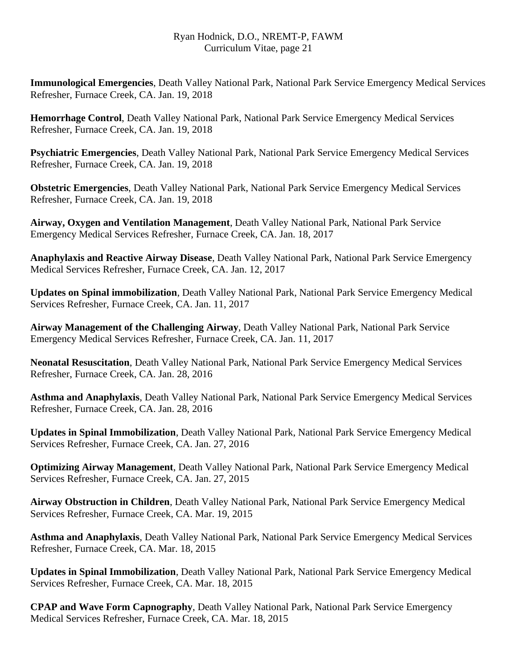**Immunological Emergencies**, Death Valley National Park, National Park Service Emergency Medical Services Refresher, Furnace Creek, CA. Jan. 19, 2018

**Hemorrhage Control**, Death Valley National Park, National Park Service Emergency Medical Services Refresher, Furnace Creek, CA. Jan. 19, 2018

**Psychiatric Emergencies**, Death Valley National Park, National Park Service Emergency Medical Services Refresher, Furnace Creek, CA. Jan. 19, 2018

**Obstetric Emergencies**, Death Valley National Park, National Park Service Emergency Medical Services Refresher, Furnace Creek, CA. Jan. 19, 2018

**Airway, Oxygen and Ventilation Management**, Death Valley National Park, National Park Service Emergency Medical Services Refresher, Furnace Creek, CA. Jan. 18, 2017

**Anaphylaxis and Reactive Airway Disease**, Death Valley National Park, National Park Service Emergency Medical Services Refresher, Furnace Creek, CA. Jan. 12, 2017

**Updates on Spinal immobilization**, Death Valley National Park, National Park Service Emergency Medical Services Refresher, Furnace Creek, CA. Jan. 11, 2017

**Airway Management of the Challenging Airway**, Death Valley National Park, National Park Service Emergency Medical Services Refresher, Furnace Creek, CA. Jan. 11, 2017

**Neonatal Resuscitation**, Death Valley National Park, National Park Service Emergency Medical Services Refresher, Furnace Creek, CA. Jan. 28, 2016

**Asthma and Anaphylaxis**, Death Valley National Park, National Park Service Emergency Medical Services Refresher, Furnace Creek, CA. Jan. 28, 2016

**Updates in Spinal Immobilization**, Death Valley National Park, National Park Service Emergency Medical Services Refresher, Furnace Creek, CA. Jan. 27, 2016

**Optimizing Airway Management**, Death Valley National Park, National Park Service Emergency Medical Services Refresher, Furnace Creek, CA. Jan. 27, 2015

**Airway Obstruction in Children**, Death Valley National Park, National Park Service Emergency Medical Services Refresher, Furnace Creek, CA. Mar. 19, 2015

**Asthma and Anaphylaxis**, Death Valley National Park, National Park Service Emergency Medical Services Refresher, Furnace Creek, CA. Mar. 18, 2015

**Updates in Spinal Immobilization**, Death Valley National Park, National Park Service Emergency Medical Services Refresher, Furnace Creek, CA. Mar. 18, 2015

**CPAP and Wave Form Capnography**, Death Valley National Park, National Park Service Emergency Medical Services Refresher, Furnace Creek, CA. Mar. 18, 2015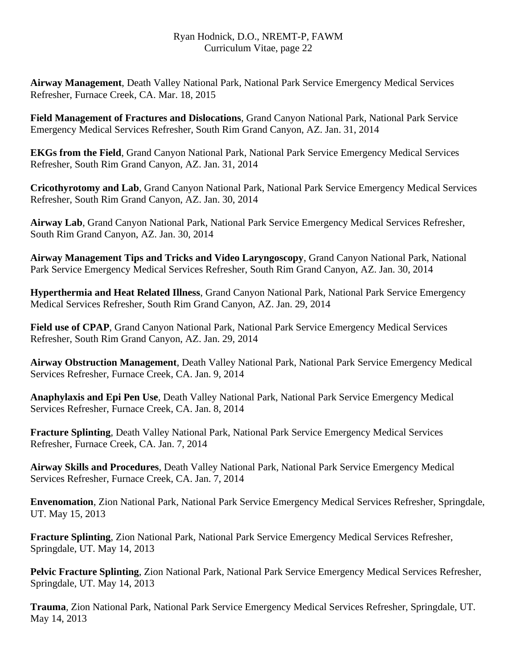**Airway Management**, Death Valley National Park, National Park Service Emergency Medical Services Refresher, Furnace Creek, CA. Mar. 18, 2015

**Field Management of Fractures and Dislocations**, Grand Canyon National Park, National Park Service Emergency Medical Services Refresher, South Rim Grand Canyon, AZ. Jan. 31, 2014

**EKGs from the Field**, Grand Canyon National Park, National Park Service Emergency Medical Services Refresher, South Rim Grand Canyon, AZ. Jan. 31, 2014

**Cricothyrotomy and Lab**, Grand Canyon National Park, National Park Service Emergency Medical Services Refresher, South Rim Grand Canyon, AZ. Jan. 30, 2014

**Airway Lab**, Grand Canyon National Park, National Park Service Emergency Medical Services Refresher, South Rim Grand Canyon, AZ. Jan. 30, 2014

**Airway Management Tips and Tricks and Video Laryngoscopy**, Grand Canyon National Park, National Park Service Emergency Medical Services Refresher, South Rim Grand Canyon, AZ. Jan. 30, 2014

**Hyperthermia and Heat Related Illness**, Grand Canyon National Park, National Park Service Emergency Medical Services Refresher, South Rim Grand Canyon, AZ. Jan. 29, 2014

**Field use of CPAP**, Grand Canyon National Park, National Park Service Emergency Medical Services Refresher, South Rim Grand Canyon, AZ. Jan. 29, 2014

**Airway Obstruction Management**, Death Valley National Park, National Park Service Emergency Medical Services Refresher, Furnace Creek, CA. Jan. 9, 2014

**Anaphylaxis and Epi Pen Use**, Death Valley National Park, National Park Service Emergency Medical Services Refresher, Furnace Creek, CA. Jan. 8, 2014

**Fracture Splinting**, Death Valley National Park, National Park Service Emergency Medical Services Refresher, Furnace Creek, CA. Jan. 7, 2014

**Airway Skills and Procedures**, Death Valley National Park, National Park Service Emergency Medical Services Refresher, Furnace Creek, CA. Jan. 7, 2014

**Envenomation**, Zion National Park, National Park Service Emergency Medical Services Refresher, Springdale, UT. May 15, 2013

**Fracture Splinting**, Zion National Park, National Park Service Emergency Medical Services Refresher, Springdale, UT. May 14, 2013

**Pelvic Fracture Splinting**, Zion National Park, National Park Service Emergency Medical Services Refresher, Springdale, UT. May 14, 2013

**Trauma**, Zion National Park, National Park Service Emergency Medical Services Refresher, Springdale, UT. May 14, 2013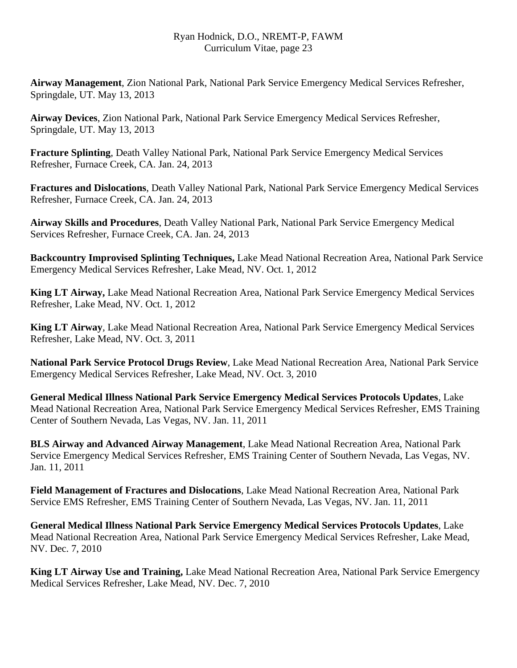**Airway Management**, Zion National Park, National Park Service Emergency Medical Services Refresher, Springdale, UT. May 13, 2013

**Airway Devices**, Zion National Park, National Park Service Emergency Medical Services Refresher, Springdale, UT. May 13, 2013

**Fracture Splinting**, Death Valley National Park, National Park Service Emergency Medical Services Refresher, Furnace Creek, CA. Jan. 24, 2013

**Fractures and Dislocations**, Death Valley National Park, National Park Service Emergency Medical Services Refresher, Furnace Creek, CA. Jan. 24, 2013

**Airway Skills and Procedures**, Death Valley National Park, National Park Service Emergency Medical Services Refresher, Furnace Creek, CA. Jan. 24, 2013

**Backcountry Improvised Splinting Techniques,** Lake Mead National Recreation Area, National Park Service Emergency Medical Services Refresher, Lake Mead, NV. Oct. 1, 2012

**King LT Airway,** Lake Mead National Recreation Area, National Park Service Emergency Medical Services Refresher, Lake Mead, NV. Oct. 1, 2012

**King LT Airway***,* Lake Mead National Recreation Area, National Park Service Emergency Medical Services Refresher, Lake Mead, NV. Oct. 3, 2011

**National Park Service Protocol Drugs Review**, Lake Mead National Recreation Area, National Park Service Emergency Medical Services Refresher, Lake Mead, NV. Oct. 3, 2010

**General Medical Illness National Park Service Emergency Medical Services Protocols Updates**, Lake Mead National Recreation Area, National Park Service Emergency Medical Services Refresher, EMS Training Center of Southern Nevada, Las Vegas, NV. Jan. 11, 2011

**BLS Airway and Advanced Airway Management**, Lake Mead National Recreation Area, National Park Service Emergency Medical Services Refresher, EMS Training Center of Southern Nevada, Las Vegas, NV. Jan. 11, 2011

**Field Management of Fractures and Dislocations**, Lake Mead National Recreation Area, National Park Service EMS Refresher, EMS Training Center of Southern Nevada, Las Vegas, NV. Jan. 11, 2011

**General Medical Illness National Park Service Emergency Medical Services Protocols Updates**, Lake Mead National Recreation Area, National Park Service Emergency Medical Services Refresher, Lake Mead, NV. Dec. 7, 2010

**King LT Airway Use and Training,** Lake Mead National Recreation Area, National Park Service Emergency Medical Services Refresher, Lake Mead, NV. Dec. 7, 2010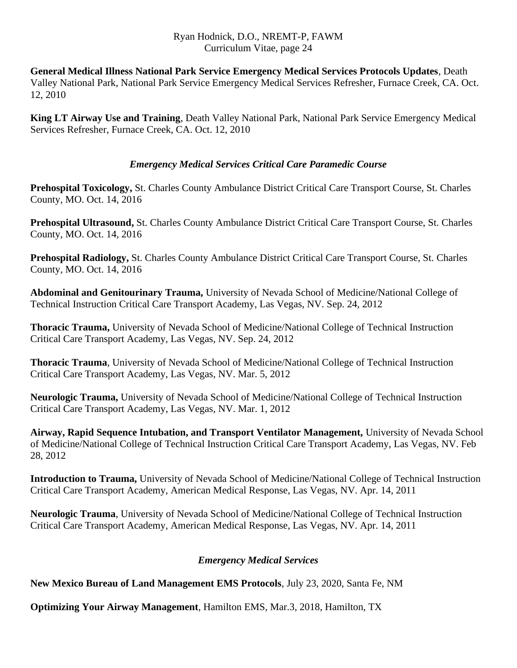**General Medical Illness National Park Service Emergency Medical Services Protocols Updates**, Death Valley National Park, National Park Service Emergency Medical Services Refresher, Furnace Creek, CA. Oct. 12, 2010

**King LT Airway Use and Training**, Death Valley National Park, National Park Service Emergency Medical Services Refresher, Furnace Creek, CA. Oct. 12, 2010

## *Emergency Medical Services Critical Care Paramedic Course*

**Prehospital Toxicology,** St. Charles County Ambulance District Critical Care Transport Course, St. Charles County, MO. Oct. 14, 2016

**Prehospital Ultrasound,** St. Charles County Ambulance District Critical Care Transport Course, St. Charles County, MO. Oct. 14, 2016

**Prehospital Radiology,** St. Charles County Ambulance District Critical Care Transport Course, St. Charles County, MO. Oct. 14, 2016

**Abdominal and Genitourinary Trauma,** University of Nevada School of Medicine/National College of Technical Instruction Critical Care Transport Academy, Las Vegas, NV. Sep. 24, 2012

**Thoracic Trauma,** University of Nevada School of Medicine/National College of Technical Instruction Critical Care Transport Academy, Las Vegas, NV. Sep. 24, 2012

**Thoracic Trauma**, University of Nevada School of Medicine/National College of Technical Instruction Critical Care Transport Academy, Las Vegas, NV. Mar. 5, 2012

**Neurologic Trauma,** University of Nevada School of Medicine/National College of Technical Instruction Critical Care Transport Academy, Las Vegas, NV. Mar. 1, 2012

**Airway, Rapid Sequence Intubation, and Transport Ventilator Management,** University of Nevada School of Medicine/National College of Technical Instruction Critical Care Transport Academy, Las Vegas, NV. Feb 28, 2012

**Introduction to Trauma,** University of Nevada School of Medicine/National College of Technical Instruction Critical Care Transport Academy, American Medical Response, Las Vegas, NV. Apr. 14, 2011

**Neurologic Trauma**, University of Nevada School of Medicine/National College of Technical Instruction Critical Care Transport Academy, American Medical Response, Las Vegas, NV. Apr. 14, 2011

## *Emergency Medical Services*

**New Mexico Bureau of Land Management EMS Protocols**, July 23, 2020, Santa Fe, NM

**Optimizing Your Airway Management**, Hamilton EMS, Mar.3, 2018, Hamilton, TX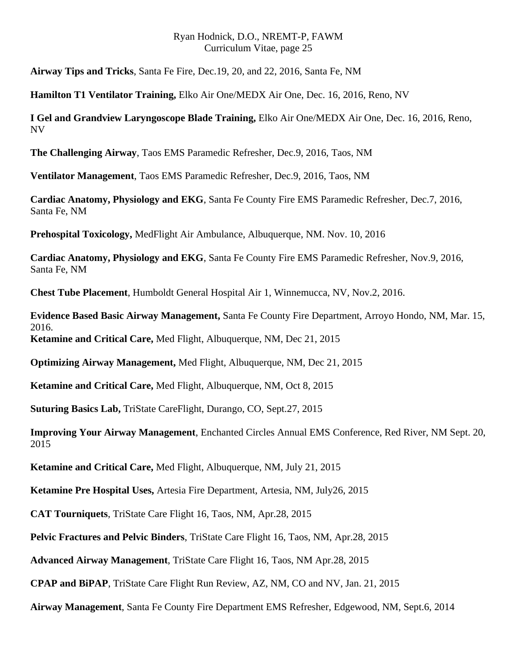**Airway Tips and Tricks**, Santa Fe Fire, Dec.19, 20, and 22, 2016, Santa Fe, NM

**Hamilton T1 Ventilator Training,** Elko Air One/MEDX Air One, Dec. 16, 2016, Reno, NV

**I Gel and Grandview Laryngoscope Blade Training,** Elko Air One/MEDX Air One, Dec. 16, 2016, Reno, NV

**The Challenging Airway**, Taos EMS Paramedic Refresher, Dec.9, 2016, Taos, NM

**Ventilator Management**, Taos EMS Paramedic Refresher, Dec.9, 2016, Taos, NM

**Cardiac Anatomy, Physiology and EKG**, Santa Fe County Fire EMS Paramedic Refresher, Dec.7, 2016, Santa Fe, NM

**Prehospital Toxicology,** MedFlight Air Ambulance, Albuquerque, NM. Nov. 10, 2016

**Cardiac Anatomy, Physiology and EKG**, Santa Fe County Fire EMS Paramedic Refresher, Nov.9, 2016, Santa Fe, NM

**Chest Tube Placement**, Humboldt General Hospital Air 1, Winnemucca, NV, Nov.2, 2016.

**Evidence Based Basic Airway Management,** Santa Fe County Fire Department, Arroyo Hondo, NM, Mar. 15, 2016.

**Ketamine and Critical Care,** Med Flight, Albuquerque, NM, Dec 21, 2015

**Optimizing Airway Management,** Med Flight, Albuquerque, NM, Dec 21, 2015

**Ketamine and Critical Care,** Med Flight, Albuquerque, NM, Oct 8, 2015

**Suturing Basics Lab,** TriState CareFlight, Durango, CO, Sept.27, 2015

**Improving Your Airway Management**, Enchanted Circles Annual EMS Conference, Red River, NM Sept. 20, 2015

**Ketamine and Critical Care,** Med Flight, Albuquerque, NM, July 21, 2015

**Ketamine Pre Hospital Uses,** Artesia Fire Department, Artesia, NM, July26, 2015

**CAT Tourniquets**, TriState Care Flight 16, Taos, NM, Apr.28, 2015

**Pelvic Fractures and Pelvic Binders**, TriState Care Flight 16, Taos, NM, Apr.28, 2015

**Advanced Airway Management**, TriState Care Flight 16, Taos, NM Apr.28, 2015

**CPAP and BiPAP**, TriState Care Flight Run Review, AZ, NM, CO and NV, Jan. 21, 2015

**Airway Management**, Santa Fe County Fire Department EMS Refresher, Edgewood, NM, Sept.6, 2014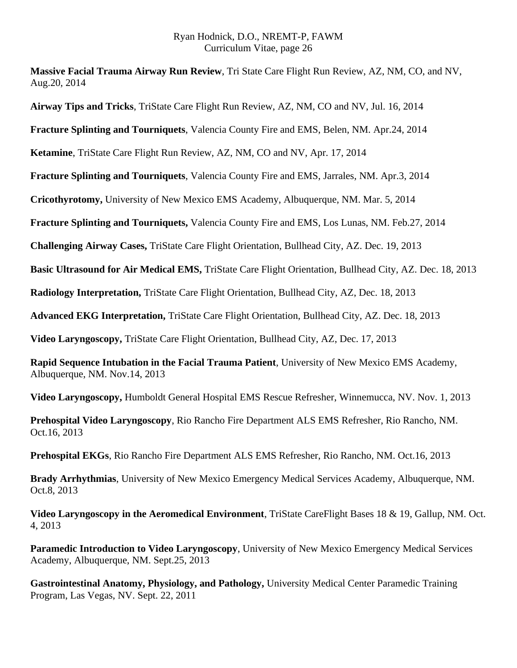**Massive Facial Trauma Airway Run Review**, Tri State Care Flight Run Review, AZ, NM, CO, and NV, Aug.20, 2014

**Airway Tips and Tricks**, TriState Care Flight Run Review, AZ, NM, CO and NV, Jul. 16, 2014

**Fracture Splinting and Tourniquets**, Valencia County Fire and EMS, Belen, NM. Apr.24, 2014

**Ketamine**, TriState Care Flight Run Review, AZ, NM, CO and NV, Apr. 17, 2014

**Fracture Splinting and Tourniquets**, Valencia County Fire and EMS, Jarrales, NM. Apr.3, 2014

**Cricothyrotomy,** University of New Mexico EMS Academy, Albuquerque, NM. Mar. 5, 2014

**Fracture Splinting and Tourniquets,** Valencia County Fire and EMS, Los Lunas, NM. Feb.27, 2014

**Challenging Airway Cases,** TriState Care Flight Orientation, Bullhead City, AZ. Dec. 19, 2013

**Basic Ultrasound for Air Medical EMS,** TriState Care Flight Orientation, Bullhead City, AZ. Dec. 18, 2013

**Radiology Interpretation,** TriState Care Flight Orientation, Bullhead City, AZ, Dec. 18, 2013

**Advanced EKG Interpretation,** TriState Care Flight Orientation, Bullhead City, AZ. Dec. 18, 2013

**Video Laryngoscopy,** TriState Care Flight Orientation, Bullhead City, AZ, Dec. 17, 2013

**Rapid Sequence Intubation in the Facial Trauma Patient**, University of New Mexico EMS Academy, Albuquerque, NM. Nov.14, 2013

**Video Laryngoscopy,** Humboldt General Hospital EMS Rescue Refresher, Winnemucca, NV. Nov. 1, 2013

**Prehospital Video Laryngoscopy**, Rio Rancho Fire Department ALS EMS Refresher, Rio Rancho, NM. Oct.16, 2013

**Prehospital EKGs**, Rio Rancho Fire Department ALS EMS Refresher, Rio Rancho, NM. Oct.16, 2013

**Brady Arrhythmias**, University of New Mexico Emergency Medical Services Academy, Albuquerque, NM. Oct.8, 2013

**Video Laryngoscopy in the Aeromedical Environment**, TriState CareFlight Bases 18 & 19, Gallup, NM. Oct. 4, 2013

**Paramedic Introduction to Video Laryngoscopy**, University of New Mexico Emergency Medical Services Academy, Albuquerque, NM. Sept.25, 2013

**Gastrointestinal Anatomy, Physiology, and Pathology,** University Medical Center Paramedic Training Program, Las Vegas, NV. Sept. 22, 2011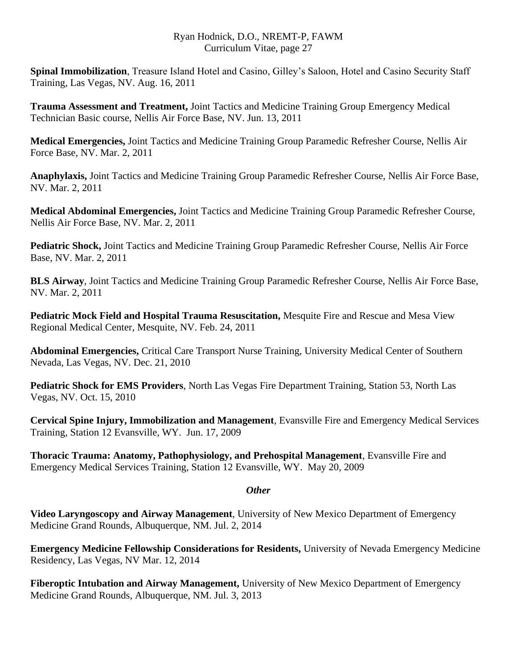**Spinal Immobilization**, Treasure Island Hotel and Casino, Gilley's Saloon, Hotel and Casino Security Staff Training, Las Vegas, NV. Aug. 16, 2011

**Trauma Assessment and Treatment,** Joint Tactics and Medicine Training Group Emergency Medical Technician Basic course, Nellis Air Force Base, NV. Jun. 13, 2011

**Medical Emergencies,** Joint Tactics and Medicine Training Group Paramedic Refresher Course, Nellis Air Force Base, NV. Mar. 2, 2011

**Anaphylaxis,** Joint Tactics and Medicine Training Group Paramedic Refresher Course, Nellis Air Force Base, NV. Mar. 2, 2011

**Medical Abdominal Emergencies,** Joint Tactics and Medicine Training Group Paramedic Refresher Course, Nellis Air Force Base, NV. Mar. 2, 2011

**Pediatric Shock,** Joint Tactics and Medicine Training Group Paramedic Refresher Course, Nellis Air Force Base, NV. Mar. 2, 2011

**BLS Airway**, Joint Tactics and Medicine Training Group Paramedic Refresher Course, Nellis Air Force Base, NV. Mar. 2, 2011

**Pediatric Mock Field and Hospital Trauma Resuscitation,** Mesquite Fire and Rescue and Mesa View Regional Medical Center, Mesquite, NV. Feb. 24, 2011

**Abdominal Emergencies,** Critical Care Transport Nurse Training, University Medical Center of Southern Nevada, Las Vegas, NV. Dec. 21, 2010

**Pediatric Shock for EMS Providers**, North Las Vegas Fire Department Training, Station 53, North Las Vegas, NV. Oct. 15, 2010

**Cervical Spine Injury, Immobilization and Management**, Evansville Fire and Emergency Medical Services Training, Station 12 Evansville, WY. Jun. 17, 2009

**Thoracic Trauma: Anatomy, Pathophysiology, and Prehospital Management**, Evansville Fire and Emergency Medical Services Training, Station 12 Evansville, WY. May 20, 2009

## *Other*

**Video Laryngoscopy and Airway Management**, University of New Mexico Department of Emergency Medicine Grand Rounds, Albuquerque, NM. Jul. 2, 2014

**Emergency Medicine Fellowship Considerations for Residents,** University of Nevada Emergency Medicine Residency, Las Vegas, NV Mar. 12, 2014

**Fiberoptic Intubation and Airway Management,** University of New Mexico Department of Emergency Medicine Grand Rounds, Albuquerque, NM. Jul. 3, 2013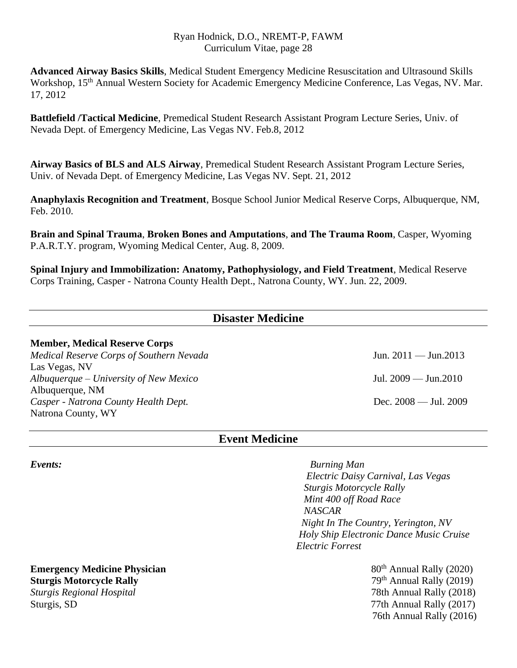**Advanced Airway Basics Skills**, Medical Student Emergency Medicine Resuscitation and Ultrasound Skills Workshop, 15<sup>th</sup> Annual Western Society for Academic Emergency Medicine Conference, Las Vegas, NV. Mar. 17, 2012

**Battlefield /Tactical Medicine**, Premedical Student Research Assistant Program Lecture Series, Univ. of Nevada Dept. of Emergency Medicine, Las Vegas NV. Feb.8, 2012

**Airway Basics of BLS and ALS Airway**, Premedical Student Research Assistant Program Lecture Series, Univ. of Nevada Dept. of Emergency Medicine, Las Vegas NV. Sept. 21, 2012

**Anaphylaxis Recognition and Treatment**, Bosque School Junior Medical Reserve Corps, Albuquerque, NM, Feb. 2010.

**Brain and Spinal Trauma**, **Broken Bones and Amputations**, **and The Trauma Room**, Casper, Wyoming P.A.R.T.Y. program, Wyoming Medical Center, Aug. 8, 2009.

**Spinal Injury and Immobilization: Anatomy, Pathophysiology, and Field Treatment**, Medical Reserve Corps Training, Casper - Natrona County Health Dept., Natrona County, WY. Jun. 22, 2009.

| <b>Disaster Medicine</b>                 |                               |
|------------------------------------------|-------------------------------|
| <b>Member, Medical Reserve Corps</b>     |                               |
| Medical Reserve Corps of Southern Nevada | Jun. $2011 -$ Jun. $2013$     |
| Las Vegas, NV                            |                               |
| $Albuquerque-University of New Mexico$   | Jul. $2009 - \text{Jun}.2010$ |
| Albuquerque, NM                          |                               |
| Casper - Natrona County Health Dept.     | Dec. $2008 -$ Jul. $2009$     |
| Natrona County, WY                       |                               |

## **Event Medicine**

*Events: Burning Man Electric Daisy Carnival, Las Vegas Sturgis Motorcycle Rally Mint 400 off Road Race NASCAR Night In The Country, Yerington, NV Holy Ship Electronic Dance Music Cruise Electric Forrest*

76th Annual Rally (2016)

#### **Emergency Medicine Physician Emergency Medicine Physician 1980 1991 1991 1991 1991 1991 1991 1991 1991 1991 1991 1991 1991 1991 1991 1991 1991 1991 1991 1991 1991 1991 1991 Sturgis Motorcycle Rally** *Sturgis Regional Hospital* 78th Annual Rally (2018) Sturgis, SD 77th Annual Rally (2017)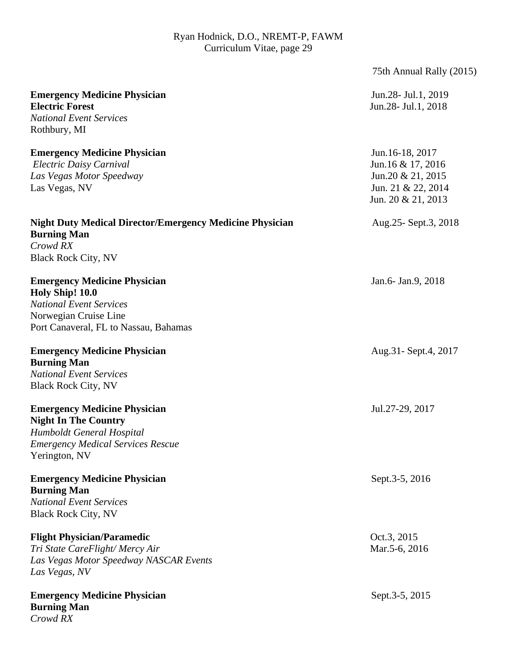|                                                                                                                                                              | 75th Annual Rally (2015)                                                                              |
|--------------------------------------------------------------------------------------------------------------------------------------------------------------|-------------------------------------------------------------------------------------------------------|
| <b>Emergency Medicine Physician</b><br><b>Electric Forest</b><br><b>National Event Services</b><br>Rothbury, MI                                              | Jun. 28 - Jul. 1, 2019<br>Jun. 28 - Jul. 1, 2018                                                      |
| <b>Emergency Medicine Physician</b><br>Electric Daisy Carnival<br>Las Vegas Motor Speedway<br>Las Vegas, NV                                                  | Jun.16-18, 2017<br>Jun.16 & 17, 2016<br>Jun.20 & 21, 2015<br>Jun. 21 & 22, 2014<br>Jun. 20 & 21, 2013 |
| <b>Night Duty Medical Director/Emergency Medicine Physician</b><br><b>Burning Man</b><br>Crowd RX<br><b>Black Rock City, NV</b>                              | Aug. 25 - Sept. 3, 2018                                                                               |
| <b>Emergency Medicine Physician</b><br>Holy Ship! 10.0<br><b>National Event Services</b><br>Norwegian Cruise Line<br>Port Canaveral, FL to Nassau, Bahamas   | Jan.6- Jan.9, 2018                                                                                    |
| <b>Emergency Medicine Physician</b><br><b>Burning Man</b><br><b>National Event Services</b><br><b>Black Rock City, NV</b>                                    | Aug. 31 - Sept. 4, 2017                                                                               |
| <b>Emergency Medicine Physician</b><br><b>Night In The Country</b><br>Humboldt General Hospital<br><b>Emergency Medical Services Rescue</b><br>Yerington, NV | Jul.27-29, 2017                                                                                       |
| <b>Emergency Medicine Physician</b><br><b>Burning Man</b><br><b>National Event Services</b><br><b>Black Rock City, NV</b>                                    | Sept.3-5, 2016                                                                                        |
| <b>Flight Physician/Paramedic</b><br>Tri State CareFlight/Mercy Air<br>Las Vegas Motor Speedway NASCAR Events<br>Las Vegas, NV                               | Oct.3, 2015<br>Mar.5-6, 2016                                                                          |
| <b>Emergency Medicine Physician</b><br><b>Burning Man</b><br>Crowd RX                                                                                        | Sept.3-5, 2015                                                                                        |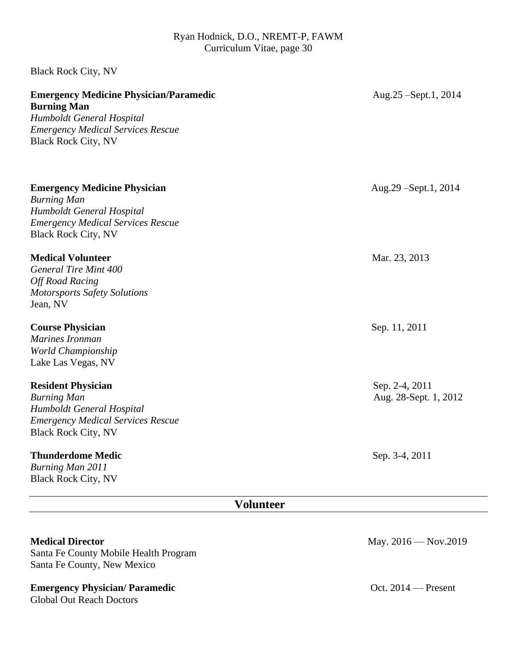| <b>Medical Director</b>                                                                                                                                                    | May. 2016 - Nov.2019                    |
|----------------------------------------------------------------------------------------------------------------------------------------------------------------------------|-----------------------------------------|
| <b>Volunteer</b>                                                                                                                                                           |                                         |
| <b>Thunderdome Medic</b><br>Burning Man 2011<br><b>Black Rock City, NV</b>                                                                                                 | Sep. 3-4, 2011                          |
| <b>Resident Physician</b><br><b>Burning Man</b><br>Humboldt General Hospital<br><b>Emergency Medical Services Rescue</b><br><b>Black Rock City, NV</b>                     | Sep. 2-4, 2011<br>Aug. 28-Sept. 1, 2012 |
| <b>Course Physician</b><br>Marines Ironman<br>World Championship<br>Lake Las Vegas, NV                                                                                     | Sep. 11, 2011                           |
| <b>Medical Volunteer</b><br>General Tire Mint 400<br><b>Off Road Racing</b><br><b>Motorsports Safety Solutions</b><br>Jean, NV                                             | Mar. 23, 2013                           |
| <b>Emergency Medicine Physician</b><br><b>Burning Man</b><br>Humboldt General Hospital<br><b>Emergency Medical Services Rescue</b><br><b>Black Rock City, NV</b>           | Aug.29 – Sept.1, 2014                   |
| <b>Emergency Medicine Physician/Paramedic</b><br><b>Burning Man</b><br>Humboldt General Hospital<br><b>Emergency Medical Services Rescue</b><br><b>Black Rock City, NV</b> | Aug. 25 – Sept. 1, 2014                 |
| <b>Black Rock City, NV</b>                                                                                                                                                 |                                         |

Santa Fe County Mobile Health Program Santa Fe County, New Mexico

## **Emergency Physician/ Paramedic Oct. 2014** — Present

Global Out Reach Doctors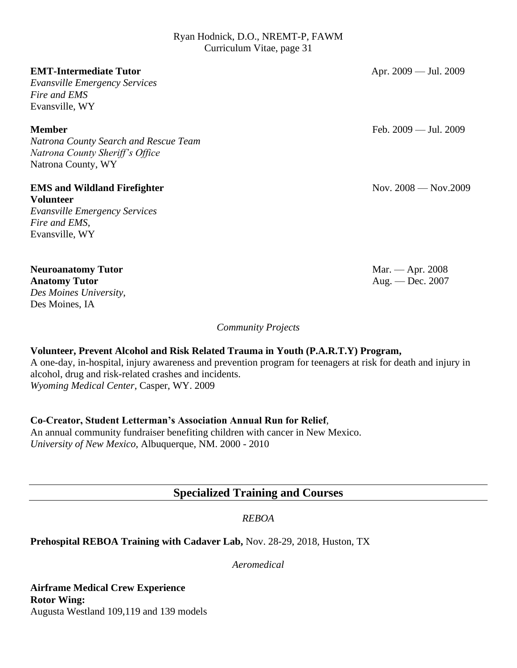| <b>EMT-Intermediate Tutor</b><br><b>Evansville Emergency Services</b><br>Fire and EMS<br>Evansville, WY                            | Apr. $2009 -$ Jul. $2009$              |
|------------------------------------------------------------------------------------------------------------------------------------|----------------------------------------|
| <b>Member</b><br>Natrona County Search and Rescue Team<br>Natrona County Sheriff's Office<br>Natrona County, WY                    | Feb. 2009 — Jul. 2009                  |
| <b>EMS and Wildland Firefighter</b><br><b>Volunteer</b><br><b>Evansville Emergency Services</b><br>Fire and EMS,<br>Evansville, WY | Nov. $2008 -$ Nov. $2009$              |
| <b>Neuroanatomy Tutor</b><br><b>Anatomy Tutor</b><br>Des Moines University,<br>Des Moines, IA                                      | Mar. — Apr. $2008$<br>Aug. — Dec. 2007 |

*Community Projects*

## **Volunteer, Prevent Alcohol and Risk Related Trauma in Youth (P.A.R.T.Y) Program,**

A one-day, in-hospital, injury awareness and prevention program for teenagers at risk for death and injury in alcohol, drug and risk-related crashes and incidents. *Wyoming Medical Center*, Casper, WY. 2009

## **Co-Creator, Student Letterman's Association Annual Run for Relief**,

An annual community fundraiser benefiting children with cancer in New Mexico. *University of New Mexico,* Albuquerque, NM. 2000 - 2010

## **Specialized Training and Courses**

## *REBOA*

## **Prehospital REBOA Training with Cadaver Lab,** Nov. 28-29, 2018, Huston, TX

*Aeromedical*

**Airframe Medical Crew Experience Rotor Wing:** Augusta Westland 109,119 and 139 models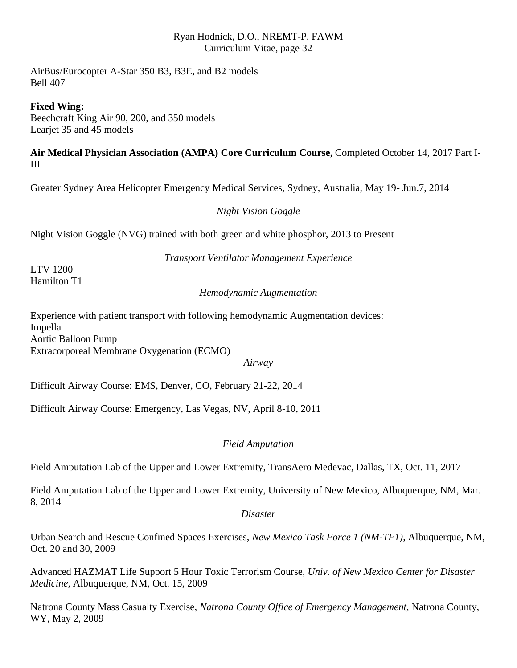AirBus/Eurocopter A-Star 350 B3, B3E, and B2 models Bell 407

**Fixed Wing:**

Beechcraft King Air 90, 200, and 350 models Learjet 35 and 45 models

## **Air Medical Physician Association (AMPA) Core Curriculum Course,** Completed October 14, 2017 Part I-III

Greater Sydney Area Helicopter Emergency Medical Services, Sydney, Australia, May 19- Jun.7, 2014

## *Night Vision Goggle*

Night Vision Goggle (NVG) trained with both green and white phosphor, 2013 to Present

*Transport Ventilator Management Experience*

LTV 1200 Hamilton T1

*Hemodynamic Augmentation*

Experience with patient transport with following hemodynamic Augmentation devices: Impella Aortic Balloon Pump Extracorporeal Membrane Oxygenation (ECMO)

*Airway*

Difficult Airway Course: EMS, Denver, CO, February 21-22, 2014

Difficult Airway Course: Emergency, Las Vegas, NV, April 8-10, 2011

## *Field Amputation*

Field Amputation Lab of the Upper and Lower Extremity, TransAero Medevac, Dallas, TX, Oct. 11, 2017

Field Amputation Lab of the Upper and Lower Extremity, University of New Mexico, Albuquerque, NM, Mar. 8, 2014

*Disaster*

Urban Search and Rescue Confined Spaces Exercises, *New Mexico Task Force 1 (NM-TF1)*, Albuquerque, NM, Oct. 20 and 30, 2009

Advanced HAZMAT Life Support 5 Hour Toxic Terrorism Course, *Univ. of New Mexico Center for Disaster Medicine,* Albuquerque, NM, Oct. 15, 2009

Natrona County Mass Casualty Exercise, *Natrona County Office of Emergency Management*, Natrona County, WY, May 2, 2009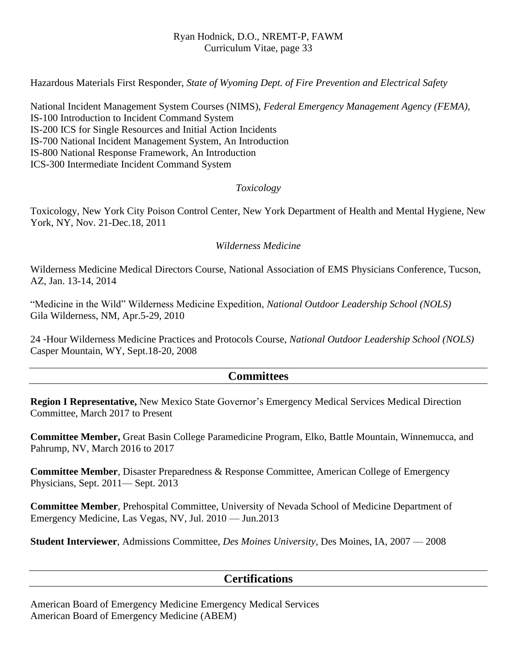Hazardous Materials First Responder, *State of Wyoming Dept. of Fire Prevention and Electrical Safety*

National Incident Management System Courses (NIMS), *Federal Emergency Management Agency (FEMA),*  IS-100 Introduction to Incident Command System IS-200 ICS for Single Resources and Initial Action Incidents IS-700 National Incident Management System, An Introduction IS-800 National Response Framework, An Introduction ICS-300 Intermediate Incident Command System

## *Toxicology*

Toxicology, New York City Poison Control Center, New York Department of Health and Mental Hygiene, New York, NY, Nov. 21-Dec.18, 2011

## *Wilderness Medicine*

Wilderness Medicine Medical Directors Course, National Association of EMS Physicians Conference, Tucson, AZ, Jan. 13-14, 2014

"Medicine in the Wild" Wilderness Medicine Expedition, *National Outdoor Leadership School (NOLS)* Gila Wilderness, NM, Apr.5-29, 2010

24 -Hour Wilderness Medicine Practices and Protocols Course, *National Outdoor Leadership School (NOLS)* Casper Mountain, WY, Sept.18-20, 2008

## **Committees**

**Region I Representative,** New Mexico State Governor's Emergency Medical Services Medical Direction Committee, March 2017 to Present

**Committee Member,** Great Basin College Paramedicine Program, Elko, Battle Mountain, Winnemucca, and Pahrump, NV, March 2016 to 2017

**Committee Member**, Disaster Preparedness & Response Committee, American College of Emergency Physicians, Sept. 2011— Sept. 2013

**Committee Member**, Prehospital Committee, University of Nevada School of Medicine Department of Emergency Medicine, Las Vegas, NV, Jul. 2010 — Jun.2013

**Student Interviewer**, Admissions Committee, *Des Moines University,* Des Moines, IA, 2007 — 2008

## **Certifications**

American Board of Emergency Medicine Emergency Medical Services American Board of Emergency Medicine (ABEM)